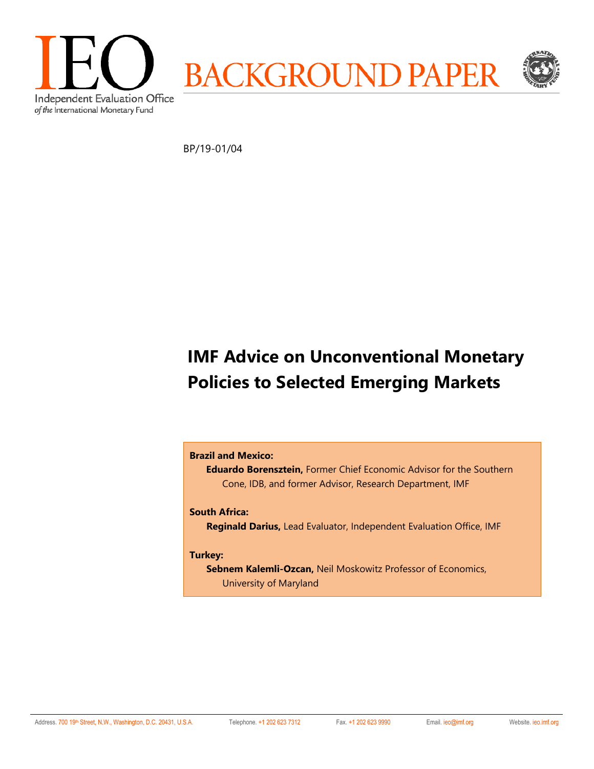

BP/19-01/04

# **IMF Advice on Unconventional Monetary Policies to Selected Emerging Markets**

## **Brazil and Mexico:**

**Eduardo Borensztein,** Former Chief Economic Advisor for the Southern Cone, IDB, and former Advisor, Research Department, IMF

## **South Africa:**

**Reginald Darius,** Lead Evaluator, Independent Evaluation Office, IMF

### **Turkey:**

**Sebnem Kalemli-Ozcan,** Neil Moskowitz Professor of Economics, University of Maryland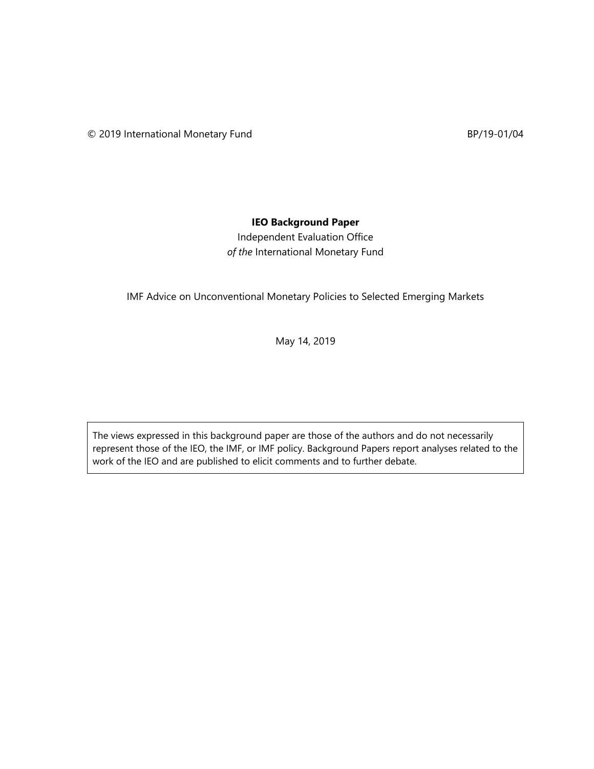## **IEO Background Paper**

Independent Evaluation Office *of the* International Monetary Fund

IMF Advice on Unconventional Monetary Policies to Selected Emerging Markets

May 14, 2019

The views expressed in this background paper are those of the authors and do not necessarily represent those of the IEO, the IMF, or IMF policy. Background Papers report analyses related to the work of the IEO and are published to elicit comments and to further debate.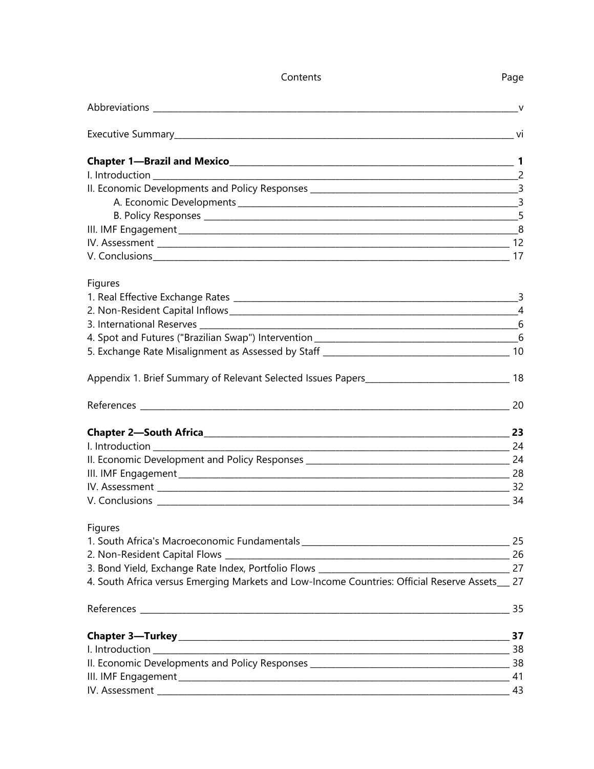| Contents                                                                                                                                                                                                                             | Page |
|--------------------------------------------------------------------------------------------------------------------------------------------------------------------------------------------------------------------------------------|------|
|                                                                                                                                                                                                                                      |      |
|                                                                                                                                                                                                                                      |      |
|                                                                                                                                                                                                                                      |      |
|                                                                                                                                                                                                                                      |      |
|                                                                                                                                                                                                                                      |      |
|                                                                                                                                                                                                                                      |      |
|                                                                                                                                                                                                                                      |      |
|                                                                                                                                                                                                                                      |      |
|                                                                                                                                                                                                                                      |      |
|                                                                                                                                                                                                                                      |      |
| Figures                                                                                                                                                                                                                              |      |
|                                                                                                                                                                                                                                      |      |
|                                                                                                                                                                                                                                      |      |
|                                                                                                                                                                                                                                      |      |
|                                                                                                                                                                                                                                      |      |
|                                                                                                                                                                                                                                      |      |
| Appendix 1. Brief Summary of Relevant Selected Issues Papers_________________________________18                                                                                                                                      |      |
|                                                                                                                                                                                                                                      |      |
|                                                                                                                                                                                                                                      | 23   |
| <u>24 a = 24 a = 25 a = 25 a = 25 a = 25 a = 25 a = 25 a = 25 a = 25 a = 25 a = 25 a = 25 a = 25 a = 25 a = 25 a = 25 a = 25 a = 25 a = 25 a = 25 a = 25 a = 25 a = 25 a = 25 a = 25 a = 25 a = 25 a = 25 a = 25 a = 25 a = 25 a</u> |      |
|                                                                                                                                                                                                                                      |      |
|                                                                                                                                                                                                                                      |      |
|                                                                                                                                                                                                                                      |      |
| $\overline{34}$                                                                                                                                                                                                                      |      |
| Figures                                                                                                                                                                                                                              |      |
|                                                                                                                                                                                                                                      |      |
|                                                                                                                                                                                                                                      | 26   |
|                                                                                                                                                                                                                                      |      |
| 4. South Africa versus Emerging Markets and Low-Income Countries: Official Reserve Assets__ 27                                                                                                                                       |      |
|                                                                                                                                                                                                                                      |      |
|                                                                                                                                                                                                                                      | 37   |
|                                                                                                                                                                                                                                      |      |
|                                                                                                                                                                                                                                      |      |
|                                                                                                                                                                                                                                      |      |
|                                                                                                                                                                                                                                      |      |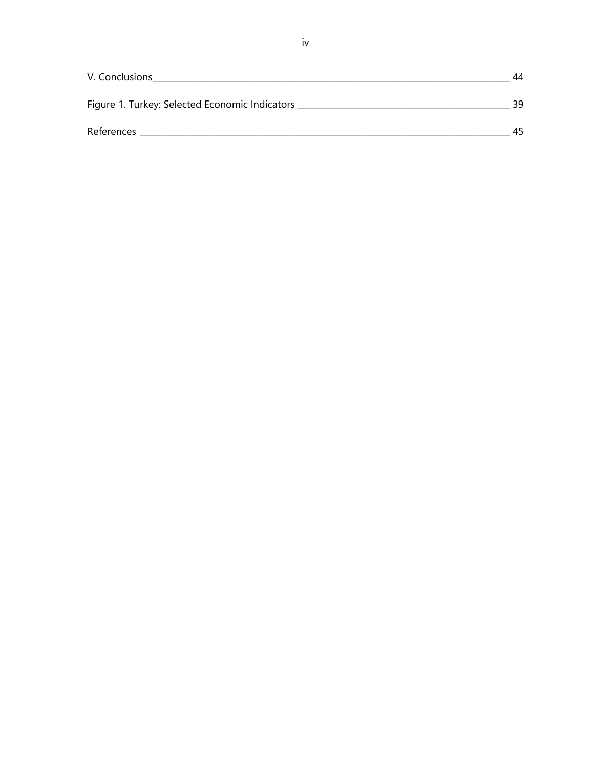| V. Conclusions                                 | 44  |
|------------------------------------------------|-----|
| Figure 1. Turkey: Selected Economic Indicators | 39  |
| References                                     | ⊿ ∽ |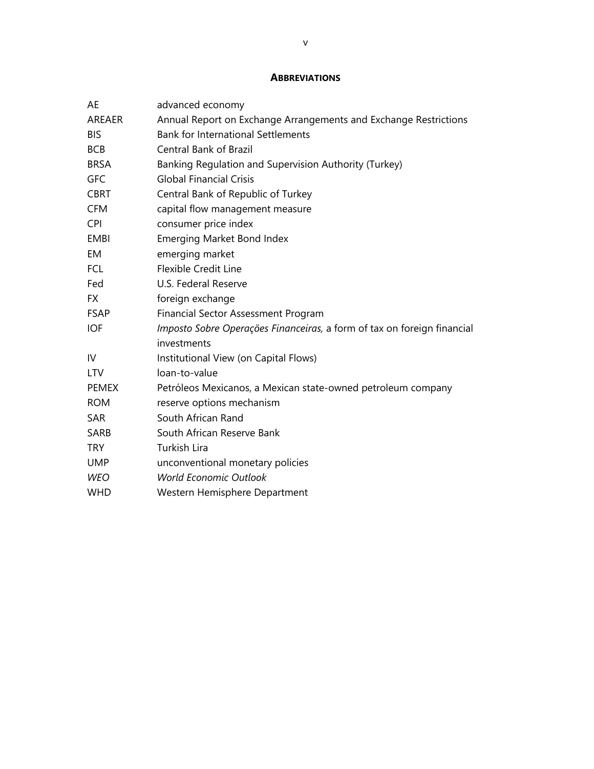## **ABBREVIATIONS**

| AE            | advanced economy                                                        |
|---------------|-------------------------------------------------------------------------|
| <b>AREAER</b> | Annual Report on Exchange Arrangements and Exchange Restrictions        |
| <b>BIS</b>    | <b>Bank for International Settlements</b>                               |
| <b>BCB</b>    | <b>Central Bank of Brazil</b>                                           |
| <b>BRSA</b>   | Banking Regulation and Supervision Authority (Turkey)                   |
| <b>GFC</b>    | <b>Global Financial Crisis</b>                                          |
| <b>CBRT</b>   | Central Bank of Republic of Turkey                                      |
| <b>CFM</b>    | capital flow management measure                                         |
| <b>CPI</b>    | consumer price index                                                    |
| <b>EMBI</b>   | <b>Emerging Market Bond Index</b>                                       |
| EM            | emerging market                                                         |
| <b>FCL</b>    | <b>Flexible Credit Line</b>                                             |
| Fed           | U.S. Federal Reserve                                                    |
| <b>FX</b>     | foreign exchange                                                        |
| <b>FSAP</b>   | Financial Sector Assessment Program                                     |
| <b>IOF</b>    | Imposto Sobre Operações Financeiras, a form of tax on foreign financial |
|               | investments                                                             |
| IV            | Institutional View (on Capital Flows)                                   |
| <b>LTV</b>    | loan-to-value                                                           |
| <b>PEMEX</b>  | Petróleos Mexicanos, a Mexican state-owned petroleum company            |
| <b>ROM</b>    | reserve options mechanism                                               |
| <b>SAR</b>    | South African Rand                                                      |
| SARB          | South African Reserve Bank                                              |
| <b>TRY</b>    | <b>Turkish Lira</b>                                                     |
| <b>UMP</b>    | unconventional monetary policies                                        |
| <b>WEO</b>    | <b>World Economic Outlook</b>                                           |
| <b>WHD</b>    | Western Hemisphere Department                                           |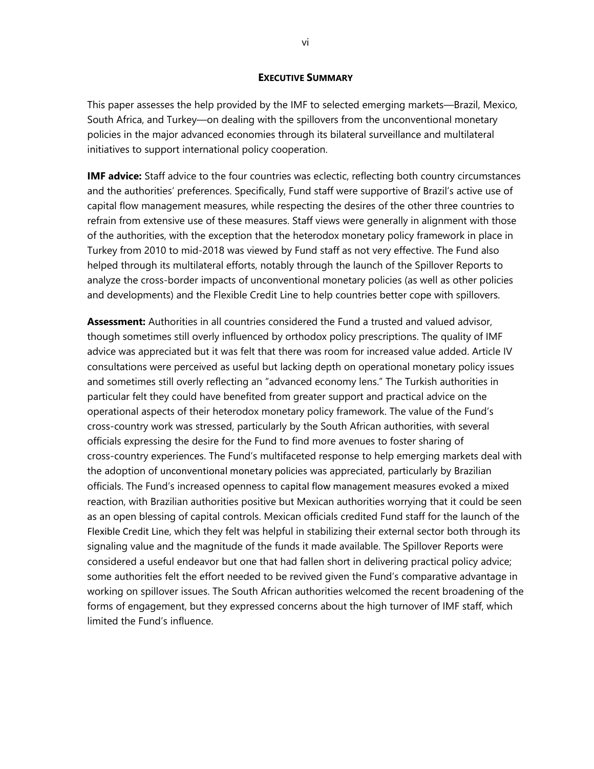#### **EXECUTIVE SUMMARY**

This paper assesses the help provided by the IMF to selected emerging markets—Brazil, Mexico, South Africa, and Turkey—on dealing with the spillovers from the unconventional monetary policies in the major advanced economies through its bilateral surveillance and multilateral initiatives to support international policy cooperation.

**IMF advice:** Staff advice to the four countries was eclectic, reflecting both country circumstances and the authorities' preferences. Specifically, Fund staff were supportive of Brazil's active use of capital flow management measures, while respecting the desires of the other three countries to refrain from extensive use of these measures. Staff views were generally in alignment with those of the authorities, with the exception that the heterodox monetary policy framework in place in Turkey from 2010 to mid-2018 was viewed by Fund staff as not very effective. The Fund also helped through its multilateral efforts, notably through the launch of the Spillover Reports to analyze the cross-border impacts of unconventional monetary policies (as well as other policies and developments) and the Flexible Credit Line to help countries better cope with spillovers.

**Assessment:** Authorities in all countries considered the Fund a trusted and valued advisor, though sometimes still overly influenced by orthodox policy prescriptions. The quality of IMF advice was appreciated but it was felt that there was room for increased value added. Article IV consultations were perceived as useful but lacking depth on operational monetary policy issues and sometimes still overly reflecting an "advanced economy lens." The Turkish authorities in particular felt they could have benefited from greater support and practical advice on the operational aspects of their heterodox monetary policy framework. The value of the Fund's cross-country work was stressed, particularly by the South African authorities, with several officials expressing the desire for the Fund to find more avenues to foster sharing of cross-country experiences. The Fund's multifaceted response to help emerging markets deal with the adoption of unconventional monetary policies was appreciated, particularly by Brazilian officials. The Fund's increased openness to capital flow management measures evoked a mixed reaction, with Brazilian authorities positive but Mexican authorities worrying that it could be seen as an open blessing of capital controls. Mexican officials credited Fund staff for the launch of the Flexible Credit Line, which they felt was helpful in stabilizing their external sector both through its signaling value and the magnitude of the funds it made available. The Spillover Reports were considered a useful endeavor but one that had fallen short in delivering practical policy advice; some authorities felt the effort needed to be revived given the Fund's comparative advantage in working on spillover issues. The South African authorities welcomed the recent broadening of the forms of engagement, but they expressed concerns about the high turnover of IMF staff, which limited the Fund's influence.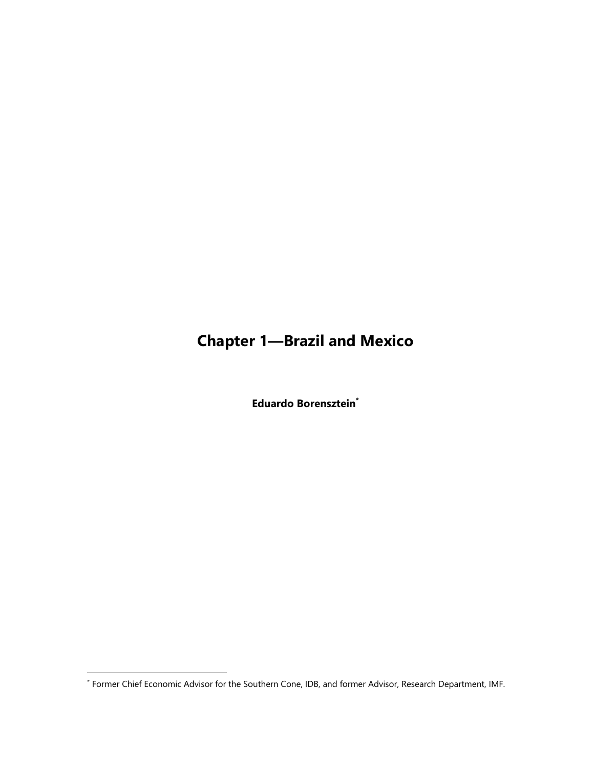# **Chapter 1—Brazil and Mexico**

**Eduardo Borensztein\***

-

<sup>\*</sup> Former Chief Economic Advisor for the Southern Cone, IDB, and former Advisor, Research Department, IMF.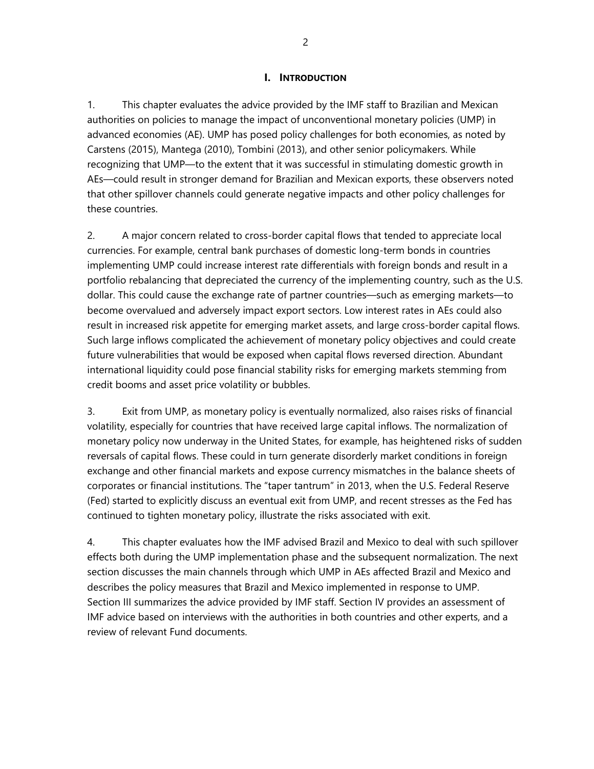## **I. INTRODUCTION**

1. This chapter evaluates the advice provided by the IMF staff to Brazilian and Mexican authorities on policies to manage the impact of unconventional monetary policies (UMP) in advanced economies (AE). UMP has posed policy challenges for both economies, as noted by Carstens (2015), Mantega (2010), Tombini (2013), and other senior policymakers. While recognizing that UMP—to the extent that it was successful in stimulating domestic growth in AEs—could result in stronger demand for Brazilian and Mexican exports, these observers noted that other spillover channels could generate negative impacts and other policy challenges for these countries.

2. A major concern related to cross-border capital flows that tended to appreciate local currencies. For example, central bank purchases of domestic long-term bonds in countries implementing UMP could increase interest rate differentials with foreign bonds and result in a portfolio rebalancing that depreciated the currency of the implementing country, such as the U.S. dollar. This could cause the exchange rate of partner countries—such as emerging markets—to become overvalued and adversely impact export sectors. Low interest rates in AEs could also result in increased risk appetite for emerging market assets, and large cross-border capital flows. Such large inflows complicated the achievement of monetary policy objectives and could create future vulnerabilities that would be exposed when capital flows reversed direction. Abundant international liquidity could pose financial stability risks for emerging markets stemming from credit booms and asset price volatility or bubbles.

3. Exit from UMP, as monetary policy is eventually normalized, also raises risks of financial volatility, especially for countries that have received large capital inflows. The normalization of monetary policy now underway in the United States, for example, has heightened risks of sudden reversals of capital flows. These could in turn generate disorderly market conditions in foreign exchange and other financial markets and expose currency mismatches in the balance sheets of corporates or financial institutions. The "taper tantrum" in 2013, when the U.S. Federal Reserve (Fed) started to explicitly discuss an eventual exit from UMP, and recent stresses as the Fed has continued to tighten monetary policy, illustrate the risks associated with exit.

4. This chapter evaluates how the IMF advised Brazil and Mexico to deal with such spillover effects both during the UMP implementation phase and the subsequent normalization. The next section discusses the main channels through which UMP in AEs affected Brazil and Mexico and describes the policy measures that Brazil and Mexico implemented in response to UMP. Section III summarizes the advice provided by IMF staff. Section IV provides an assessment of IMF advice based on interviews with the authorities in both countries and other experts, and a review of relevant Fund documents.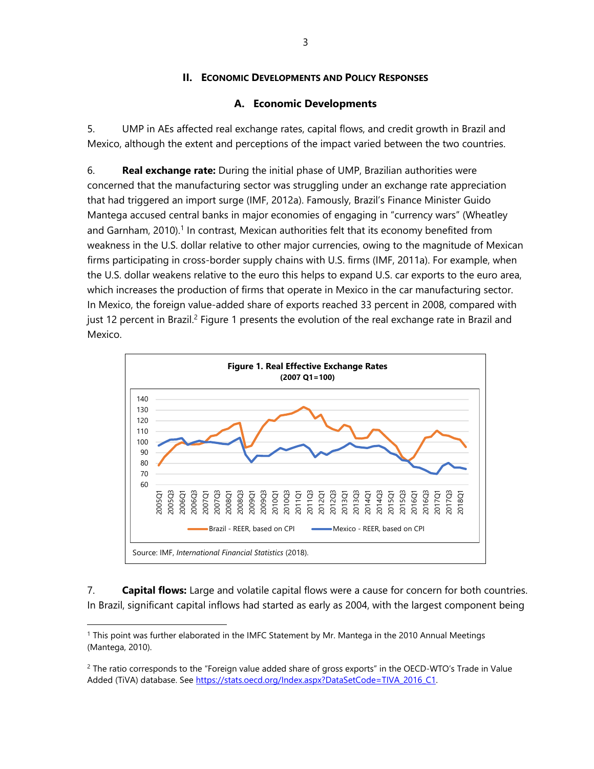## **II. ECONOMIC DEVELOPMENTS AND POLICY RESPONSES**

## **A. Economic Developments**

5. UMP in AEs affected real exchange rates, capital flows, and credit growth in Brazil and Mexico, although the extent and perceptions of the impact varied between the two countries.

6. **Real exchange rate:** During the initial phase of UMP, Brazilian authorities were concerned that the manufacturing sector was struggling under an exchange rate appreciation that had triggered an import surge (IMF, 2012a). Famously, Brazil's Finance Minister Guido Mantega accused central banks in major economies of engaging in "currency wars" (Wheatley and Garnham, 2010).<sup>1</sup> In contrast, Mexican authorities felt that its economy benefited from weakness in the U.S. dollar relative to other major currencies, owing to the magnitude of Mexican firms participating in cross-border supply chains with U.S. firms (IMF, 2011a). For example, when the U.S. dollar weakens relative to the euro this helps to expand U.S. car exports to the euro area, which increases the production of firms that operate in Mexico in the car manufacturing sector. In Mexico, the foreign value-added share of exports reached 33 percent in 2008, compared with just 12 percent in Brazil.<sup>2</sup> Figure 1 presents the evolution of the real exchange rate in Brazil and Mexico.



7. **Capital flows:** Large and volatile capital flows were a cause for concern for both countries. In Brazil, significant capital inflows had started as early as 2004, with the largest component being

<sup>1</sup> This point was further elaborated in the IMFC Statement by Mr. Mantega in the 2010 Annual Meetings (Mantega, 2010).

 $2$  The ratio corresponds to the "Foreign value added share of gross exports" in the OECD-WTO's Trade in Value Added (TiVA) database. See https://stats.oecd.org/Index.aspx?DataSetCode=TIVA\_2016\_C1.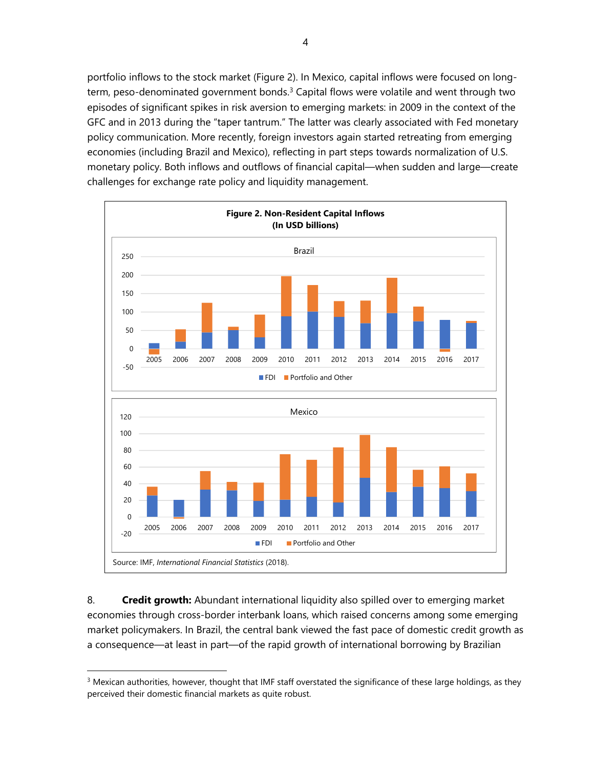portfolio inflows to the stock market (Figure 2). In Mexico, capital inflows were focused on longterm, peso-denominated government bonds. $3$  Capital flows were volatile and went through two episodes of significant spikes in risk aversion to emerging markets: in 2009 in the context of the GFC and in 2013 during the "taper tantrum." The latter was clearly associated with Fed monetary policy communication. More recently, foreign investors again started retreating from emerging economies (including Brazil and Mexico), reflecting in part steps towards normalization of U.S. monetary policy. Both inflows and outflows of financial capital—when sudden and large—create challenges for exchange rate policy and liquidity management.



8. **Credit growth:** Abundant international liquidity also spilled over to emerging market economies through cross-border interbank loans, which raised concerns among some emerging market policymakers. In Brazil, the central bank viewed the fast pace of domestic credit growth as a consequence—at least in part—of the rapid growth of international borrowing by Brazilian

 $3$  Mexican authorities, however, thought that IMF staff overstated the significance of these large holdings, as they perceived their domestic financial markets as quite robust.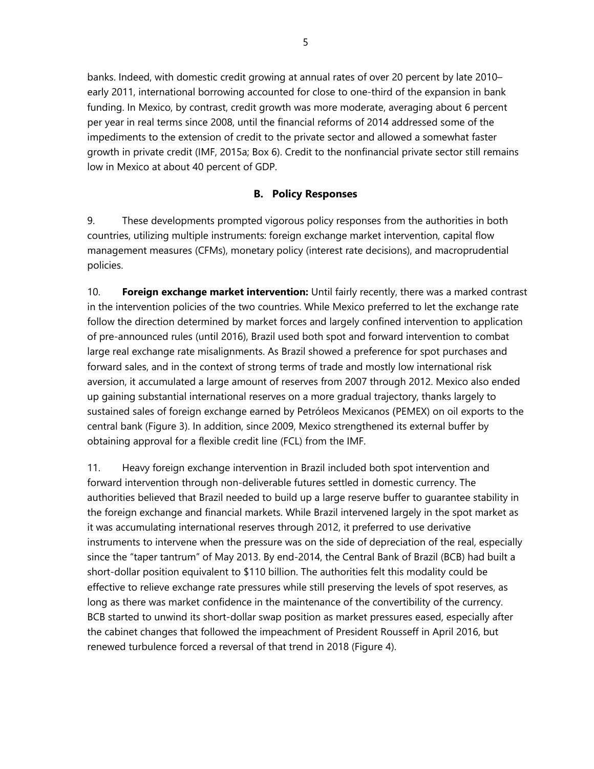banks. Indeed, with domestic credit growing at annual rates of over 20 percent by late 2010– early 2011, international borrowing accounted for close to one-third of the expansion in bank funding. In Mexico, by contrast, credit growth was more moderate, averaging about 6 percent per year in real terms since 2008, until the financial reforms of 2014 addressed some of the impediments to the extension of credit to the private sector and allowed a somewhat faster growth in private credit (IMF, 2015a; Box 6). Credit to the nonfinancial private sector still remains low in Mexico at about 40 percent of GDP.

## **B. Policy Responses**

9. These developments prompted vigorous policy responses from the authorities in both countries, utilizing multiple instruments: foreign exchange market intervention, capital flow management measures (CFMs), monetary policy (interest rate decisions), and macroprudential policies.

10. **Foreign exchange market intervention:** Until fairly recently, there was a marked contrast in the intervention policies of the two countries. While Mexico preferred to let the exchange rate follow the direction determined by market forces and largely confined intervention to application of pre-announced rules (until 2016), Brazil used both spot and forward intervention to combat large real exchange rate misalignments. As Brazil showed a preference for spot purchases and forward sales, and in the context of strong terms of trade and mostly low international risk aversion, it accumulated a large amount of reserves from 2007 through 2012. Mexico also ended up gaining substantial international reserves on a more gradual trajectory, thanks largely to sustained sales of foreign exchange earned by Petróleos Mexicanos (PEMEX) on oil exports to the central bank (Figure 3). In addition, since 2009, Mexico strengthened its external buffer by obtaining approval for a flexible credit line (FCL) from the IMF.

11. Heavy foreign exchange intervention in Brazil included both spot intervention and forward intervention through non-deliverable futures settled in domestic currency. The authorities believed that Brazil needed to build up a large reserve buffer to guarantee stability in the foreign exchange and financial markets. While Brazil intervened largely in the spot market as it was accumulating international reserves through 2012, it preferred to use derivative instruments to intervene when the pressure was on the side of depreciation of the real, especially since the "taper tantrum" of May 2013. By end-2014, the Central Bank of Brazil (BCB) had built a short-dollar position equivalent to \$110 billion. The authorities felt this modality could be effective to relieve exchange rate pressures while still preserving the levels of spot reserves, as long as there was market confidence in the maintenance of the convertibility of the currency. BCB started to unwind its short-dollar swap position as market pressures eased, especially after the cabinet changes that followed the impeachment of President Rousseff in April 2016, but renewed turbulence forced a reversal of that trend in 2018 (Figure 4).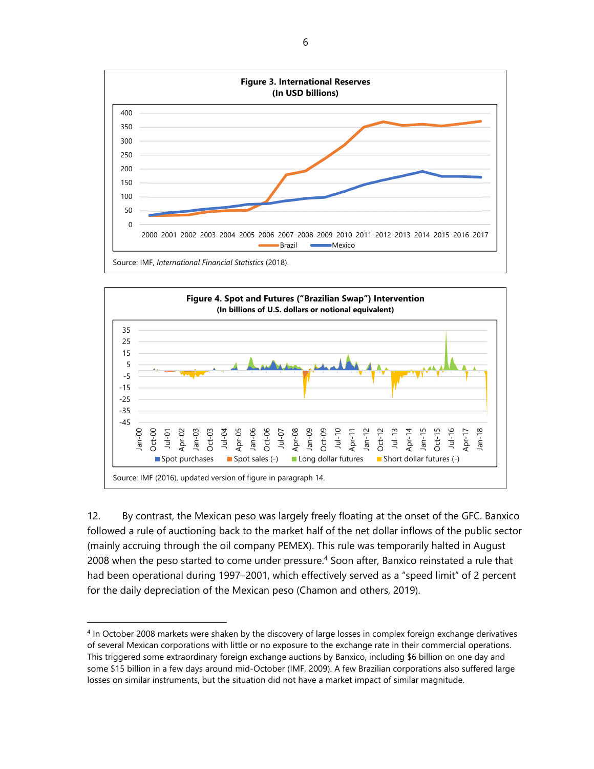



12. By contrast, the Mexican peso was largely freely floating at the onset of the GFC. Banxico followed a rule of auctioning back to the market half of the net dollar inflows of the public sector (mainly accruing through the oil company PEMEX). This rule was temporarily halted in August 2008 when the peso started to come under pressure.<sup>4</sup> Soon after, Banxico reinstated a rule that had been operational during 1997–2001, which effectively served as a "speed limit" of 2 percent for the daily depreciation of the Mexican peso (Chamon and others, 2019).

<sup>4</sup> In October 2008 markets were shaken by the discovery of large losses in complex foreign exchange derivatives of several Mexican corporations with little or no exposure to the exchange rate in their commercial operations. This triggered some extraordinary foreign exchange auctions by Banxico, including \$6 billion on one day and some \$15 billion in a few days around mid-October (IMF, 2009). A few Brazilian corporations also suffered large losses on similar instruments, but the situation did not have a market impact of similar magnitude.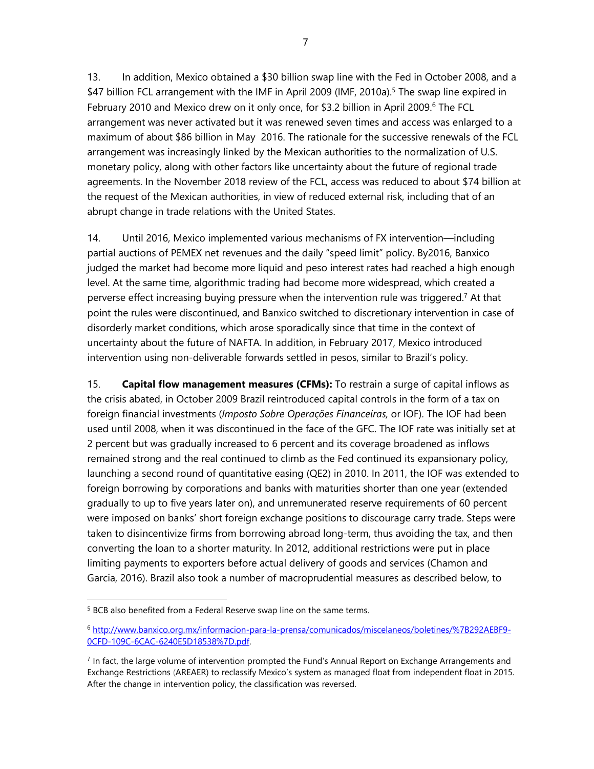13. In addition, Mexico obtained a \$30 billion swap line with the Fed in October 2008, and a \$47 billion FCL arrangement with the IMF in April 2009 (IMF, 2010a).<sup>5</sup> The swap line expired in February 2010 and Mexico drew on it only once, for \$3.2 billion in April 2009.<sup>6</sup> The FCL arrangement was never activated but it was renewed seven times and access was enlarged to a maximum of about \$86 billion in May 2016. The rationale for the successive renewals of the FCL arrangement was increasingly linked by the Mexican authorities to the normalization of U.S. monetary policy, along with other factors like uncertainty about the future of regional trade

agreements. In the November 2018 review of the FCL, access was reduced to about \$74 billion at the request of the Mexican authorities, in view of reduced external risk, including that of an abrupt change in trade relations with the United States.

14. Until 2016, Mexico implemented various mechanisms of FX intervention—including partial auctions of PEMEX net revenues and the daily "speed limit" policy. By2016, Banxico judged the market had become more liquid and peso interest rates had reached a high enough level. At the same time, algorithmic trading had become more widespread, which created a perverse effect increasing buying pressure when the intervention rule was triggered.<sup>7</sup> At that point the rules were discontinued, and Banxico switched to discretionary intervention in case of disorderly market conditions, which arose sporadically since that time in the context of uncertainty about the future of NAFTA. In addition, in February 2017, Mexico introduced intervention using non-deliverable forwards settled in pesos, similar to Brazil's policy.

15. **Capital flow management measures (CFMs):** To restrain a surge of capital inflows as the crisis abated, in October 2009 Brazil reintroduced capital controls in the form of a tax on foreign financial investments (*Imposto Sobre Operações Financeiras,* or IOF). The IOF had been used until 2008, when it was discontinued in the face of the GFC. The IOF rate was initially set at 2 percent but was gradually increased to 6 percent and its coverage broadened as inflows remained strong and the real continued to climb as the Fed continued its expansionary policy, launching a second round of quantitative easing (QE2) in 2010. In 2011, the IOF was extended to foreign borrowing by corporations and banks with maturities shorter than one year (extended gradually to up to five years later on), and unremunerated reserve requirements of 60 percent were imposed on banks' short foreign exchange positions to discourage carry trade. Steps were taken to disincentivize firms from borrowing abroad long-term, thus avoiding the tax, and then converting the loan to a shorter maturity. In 2012, additional restrictions were put in place limiting payments to exporters before actual delivery of goods and services (Chamon and Garcia, 2016). Brazil also took a number of macroprudential measures as described below, to

-

<sup>&</sup>lt;sup>5</sup> BCB also benefited from a Federal Reserve swap line on the same terms.

<sup>6</sup> http://www.banxico.org.mx/informacion-para-la-prensa/comunicados/miscelaneos/boletines/%7B292AEBF9- 0CFD-109C-6CAC-6240E5D18538%7D.pdf.

 $<sup>7</sup>$  In fact, the large volume of intervention prompted the Fund's Annual Report on Exchange Arrangements and</sup> Exchange Restrictions (AREAER) to reclassify Mexico's system as managed float from independent float in 2015. After the change in intervention policy, the classification was reversed.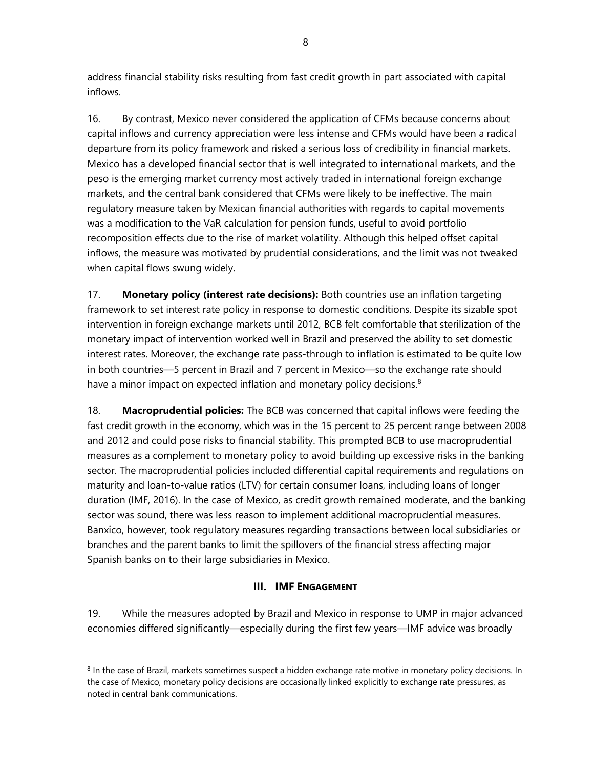address financial stability risks resulting from fast credit growth in part associated with capital inflows.

16. By contrast, Mexico never considered the application of CFMs because concerns about capital inflows and currency appreciation were less intense and CFMs would have been a radical departure from its policy framework and risked a serious loss of credibility in financial markets. Mexico has a developed financial sector that is well integrated to international markets, and the peso is the emerging market currency most actively traded in international foreign exchange markets, and the central bank considered that CFMs were likely to be ineffective. The main regulatory measure taken by Mexican financial authorities with regards to capital movements was a modification to the VaR calculation for pension funds, useful to avoid portfolio recomposition effects due to the rise of market volatility. Although this helped offset capital inflows, the measure was motivated by prudential considerations, and the limit was not tweaked when capital flows swung widely.

17. **Monetary policy (interest rate decisions):** Both countries use an inflation targeting framework to set interest rate policy in response to domestic conditions. Despite its sizable spot intervention in foreign exchange markets until 2012, BCB felt comfortable that sterilization of the monetary impact of intervention worked well in Brazil and preserved the ability to set domestic interest rates. Moreover, the exchange rate pass-through to inflation is estimated to be quite low in both countries—5 percent in Brazil and 7 percent in Mexico—so the exchange rate should have a minor impact on expected inflation and monetary policy decisions.<sup>8</sup>

18. **Macroprudential policies:** The BCB was concerned that capital inflows were feeding the fast credit growth in the economy, which was in the 15 percent to 25 percent range between 2008 and 2012 and could pose risks to financial stability. This prompted BCB to use macroprudential measures as a complement to monetary policy to avoid building up excessive risks in the banking sector. The macroprudential policies included differential capital requirements and regulations on maturity and loan-to-value ratios (LTV) for certain consumer loans, including loans of longer duration (IMF, 2016). In the case of Mexico, as credit growth remained moderate, and the banking sector was sound, there was less reason to implement additional macroprudential measures. Banxico, however, took regulatory measures regarding transactions between local subsidiaries or branches and the parent banks to limit the spillovers of the financial stress affecting major Spanish banks on to their large subsidiaries in Mexico.

## **III. IMF ENGAGEMENT**

19. While the measures adopted by Brazil and Mexico in response to UMP in major advanced economies differed significantly—especially during the first few years—IMF advice was broadly

-

<sup>8</sup> In the case of Brazil, markets sometimes suspect a hidden exchange rate motive in monetary policy decisions. In the case of Mexico, monetary policy decisions are occasionally linked explicitly to exchange rate pressures, as noted in central bank communications.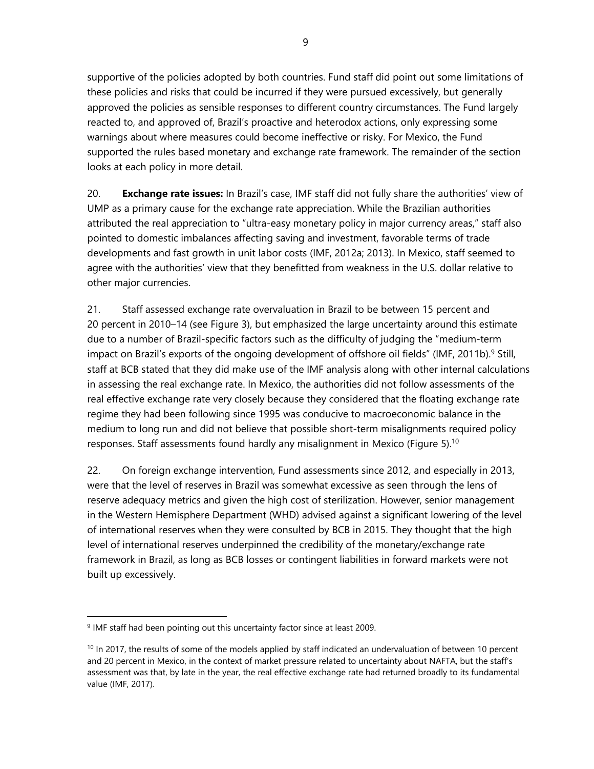supportive of the policies adopted by both countries. Fund staff did point out some limitations of these policies and risks that could be incurred if they were pursued excessively, but generally approved the policies as sensible responses to different country circumstances. The Fund largely reacted to, and approved of, Brazil's proactive and heterodox actions, only expressing some warnings about where measures could become ineffective or risky. For Mexico, the Fund supported the rules based monetary and exchange rate framework. The remainder of the section looks at each policy in more detail.

20. **Exchange rate issues:** In Brazil's case, IMF staff did not fully share the authorities' view of UMP as a primary cause for the exchange rate appreciation. While the Brazilian authorities attributed the real appreciation to "ultra-easy monetary policy in major currency areas," staff also pointed to domestic imbalances affecting saving and investment, favorable terms of trade developments and fast growth in unit labor costs (IMF, 2012a; 2013). In Mexico, staff seemed to agree with the authorities' view that they benefitted from weakness in the U.S. dollar relative to other major currencies.

21. Staff assessed exchange rate overvaluation in Brazil to be between 15 percent and 20 percent in 2010–14 (see Figure 3), but emphasized the large uncertainty around this estimate due to a number of Brazil-specific factors such as the difficulty of judging the "medium-term impact on Brazil's exports of the ongoing development of offshore oil fields" (IMF, 2011b).<sup>9</sup> Still, staff at BCB stated that they did make use of the IMF analysis along with other internal calculations in assessing the real exchange rate. In Mexico, the authorities did not follow assessments of the real effective exchange rate very closely because they considered that the floating exchange rate regime they had been following since 1995 was conducive to macroeconomic balance in the medium to long run and did not believe that possible short-term misalignments required policy responses. Staff assessments found hardly any misalignment in Mexico (Figure 5).<sup>10</sup>

22. On foreign exchange intervention, Fund assessments since 2012, and especially in 2013, were that the level of reserves in Brazil was somewhat excessive as seen through the lens of reserve adequacy metrics and given the high cost of sterilization. However, senior management in the Western Hemisphere Department (WHD) advised against a significant lowering of the level of international reserves when they were consulted by BCB in 2015. They thought that the high level of international reserves underpinned the credibility of the monetary/exchange rate framework in Brazil, as long as BCB losses or contingent liabilities in forward markets were not built up excessively.

<sup>9</sup> IMF staff had been pointing out this uncertainty factor since at least 2009.

 $10$  In 2017, the results of some of the models applied by staff indicated an undervaluation of between 10 percent and 20 percent in Mexico, in the context of market pressure related to uncertainty about NAFTA, but the staff's assessment was that, by late in the year, the real effective exchange rate had returned broadly to its fundamental value (IMF, 2017).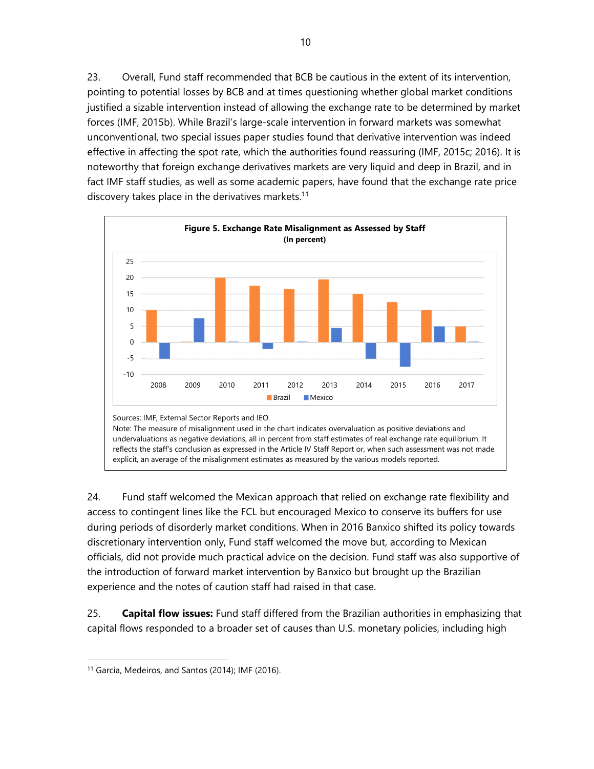23. Overall, Fund staff recommended that BCB be cautious in the extent of its intervention, pointing to potential losses by BCB and at times questioning whether global market conditions justified a sizable intervention instead of allowing the exchange rate to be determined by market forces (IMF, 2015b). While Brazil's large-scale intervention in forward markets was somewhat unconventional, two special issues paper studies found that derivative intervention was indeed effective in affecting the spot rate, which the authorities found reassuring (IMF, 2015c; 2016). It is noteworthy that foreign exchange derivatives markets are very liquid and deep in Brazil, and in fact IMF staff studies, as well as some academic papers, have found that the exchange rate price discovery takes place in the derivatives markets.<sup>11</sup>



24. Fund staff welcomed the Mexican approach that relied on exchange rate flexibility and access to contingent lines like the FCL but encouraged Mexico to conserve its buffers for use during periods of disorderly market conditions. When in 2016 Banxico shifted its policy towards discretionary intervention only, Fund staff welcomed the move but, according to Mexican officials, did not provide much practical advice on the decision. Fund staff was also supportive of the introduction of forward market intervention by Banxico but brought up the Brazilian experience and the notes of caution staff had raised in that case.

25. **Capital flow issues:** Fund staff differed from the Brazilian authorities in emphasizing that capital flows responded to a broader set of causes than U.S. monetary policies, including high

-

<sup>11</sup> Garcia, Medeiros, and Santos (2014); IMF (2016).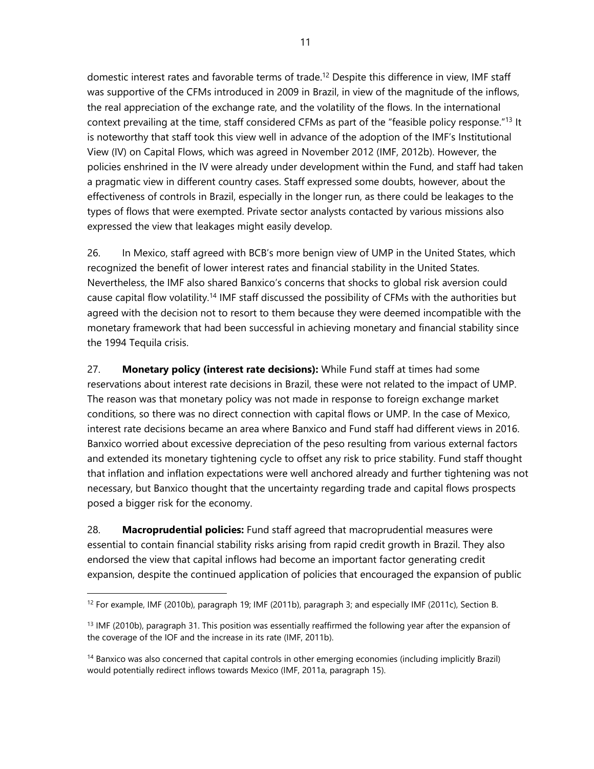domestic interest rates and favorable terms of trade.12 Despite this difference in view, IMF staff was supportive of the CFMs introduced in 2009 in Brazil, in view of the magnitude of the inflows, the real appreciation of the exchange rate, and the volatility of the flows. In the international context prevailing at the time, staff considered CFMs as part of the "feasible policy response."13 It is noteworthy that staff took this view well in advance of the adoption of the IMF's Institutional View (IV) on Capital Flows, which was agreed in November 2012 (IMF, 2012b). However, the policies enshrined in the IV were already under development within the Fund, and staff had taken a pragmatic view in different country cases. Staff expressed some doubts, however, about the effectiveness of controls in Brazil, especially in the longer run, as there could be leakages to the types of flows that were exempted. Private sector analysts contacted by various missions also expressed the view that leakages might easily develop.

26. In Mexico, staff agreed with BCB's more benign view of UMP in the United States, which recognized the benefit of lower interest rates and financial stability in the United States. Nevertheless, the IMF also shared Banxico's concerns that shocks to global risk aversion could cause capital flow volatility.14 IMF staff discussed the possibility of CFMs with the authorities but agreed with the decision not to resort to them because they were deemed incompatible with the monetary framework that had been successful in achieving monetary and financial stability since the 1994 Tequila crisis.

27. **Monetary policy (interest rate decisions):** While Fund staff at times had some reservations about interest rate decisions in Brazil, these were not related to the impact of UMP. The reason was that monetary policy was not made in response to foreign exchange market conditions, so there was no direct connection with capital flows or UMP. In the case of Mexico, interest rate decisions became an area where Banxico and Fund staff had different views in 2016. Banxico worried about excessive depreciation of the peso resulting from various external factors and extended its monetary tightening cycle to offset any risk to price stability. Fund staff thought that inflation and inflation expectations were well anchored already and further tightening was not necessary, but Banxico thought that the uncertainty regarding trade and capital flows prospects posed a bigger risk for the economy.

28. **Macroprudential policies:** Fund staff agreed that macroprudential measures were essential to contain financial stability risks arising from rapid credit growth in Brazil. They also endorsed the view that capital inflows had become an important factor generating credit expansion, despite the continued application of policies that encouraged the expansion of public

<sup>12</sup> For example, IMF (2010b), paragraph 19; IMF (2011b), paragraph 3; and especially IMF (2011c), Section B.

<sup>&</sup>lt;sup>13</sup> IMF (2010b), paragraph 31. This position was essentially reaffirmed the following year after the expansion of the coverage of the IOF and the increase in its rate (IMF, 2011b).

<sup>&</sup>lt;sup>14</sup> Banxico was also concerned that capital controls in other emerging economies (including implicitly Brazil) would potentially redirect inflows towards Mexico (IMF, 2011a, paragraph 15).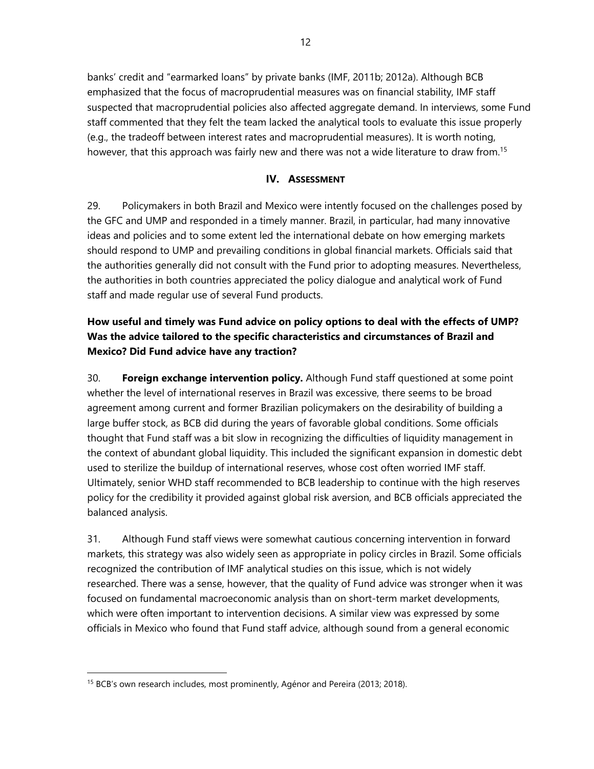banks' credit and "earmarked loans" by private banks (IMF, 2011b; 2012a). Although BCB emphasized that the focus of macroprudential measures was on financial stability, IMF staff suspected that macroprudential policies also affected aggregate demand. In interviews, some Fund staff commented that they felt the team lacked the analytical tools to evaluate this issue properly (e.g., the tradeoff between interest rates and macroprudential measures). It is worth noting, however, that this approach was fairly new and there was not a wide literature to draw from.<sup>15</sup>

## **IV. ASSESSMENT**

29. Policymakers in both Brazil and Mexico were intently focused on the challenges posed by the GFC and UMP and responded in a timely manner. Brazil, in particular, had many innovative ideas and policies and to some extent led the international debate on how emerging markets should respond to UMP and prevailing conditions in global financial markets. Officials said that the authorities generally did not consult with the Fund prior to adopting measures. Nevertheless, the authorities in both countries appreciated the policy dialogue and analytical work of Fund staff and made regular use of several Fund products.

# **How useful and timely was Fund advice on policy options to deal with the effects of UMP? Was the advice tailored to the specific characteristics and circumstances of Brazil and Mexico? Did Fund advice have any traction?**

30. **Foreign exchange intervention policy.** Although Fund staff questioned at some point whether the level of international reserves in Brazil was excessive, there seems to be broad agreement among current and former Brazilian policymakers on the desirability of building a large buffer stock, as BCB did during the years of favorable global conditions. Some officials thought that Fund staff was a bit slow in recognizing the difficulties of liquidity management in the context of abundant global liquidity. This included the significant expansion in domestic debt used to sterilize the buildup of international reserves, whose cost often worried IMF staff. Ultimately, senior WHD staff recommended to BCB leadership to continue with the high reserves policy for the credibility it provided against global risk aversion, and BCB officials appreciated the balanced analysis.

31. Although Fund staff views were somewhat cautious concerning intervention in forward markets, this strategy was also widely seen as appropriate in policy circles in Brazil. Some officials recognized the contribution of IMF analytical studies on this issue, which is not widely researched. There was a sense, however, that the quality of Fund advice was stronger when it was focused on fundamental macroeconomic analysis than on short-term market developments, which were often important to intervention decisions. A similar view was expressed by some officials in Mexico who found that Fund staff advice, although sound from a general economic

<sup>&</sup>lt;sup>15</sup> BCB's own research includes, most prominently, Agénor and Pereira (2013; 2018).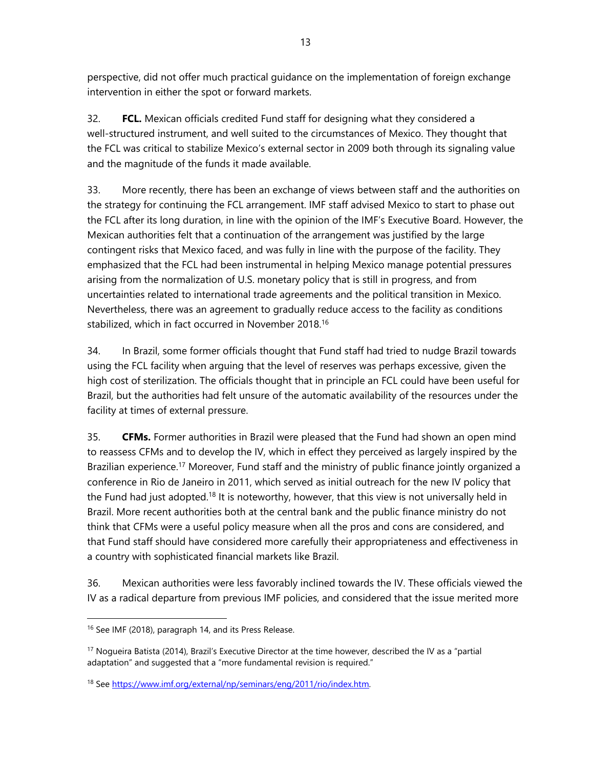perspective, did not offer much practical guidance on the implementation of foreign exchange intervention in either the spot or forward markets.

32. **FCL.** Mexican officials credited Fund staff for designing what they considered a well-structured instrument, and well suited to the circumstances of Mexico. They thought that the FCL was critical to stabilize Mexico's external sector in 2009 both through its signaling value and the magnitude of the funds it made available.

33. More recently, there has been an exchange of views between staff and the authorities on the strategy for continuing the FCL arrangement. IMF staff advised Mexico to start to phase out the FCL after its long duration, in line with the opinion of the IMF's Executive Board. However, the Mexican authorities felt that a continuation of the arrangement was justified by the large contingent risks that Mexico faced, and was fully in line with the purpose of the facility. They emphasized that the FCL had been instrumental in helping Mexico manage potential pressures arising from the normalization of U.S. monetary policy that is still in progress, and from uncertainties related to international trade agreements and the political transition in Mexico. Nevertheless, there was an agreement to gradually reduce access to the facility as conditions stabilized, which in fact occurred in November 2018.16

34. In Brazil, some former officials thought that Fund staff had tried to nudge Brazil towards using the FCL facility when arguing that the level of reserves was perhaps excessive, given the high cost of sterilization. The officials thought that in principle an FCL could have been useful for Brazil, but the authorities had felt unsure of the automatic availability of the resources under the facility at times of external pressure.

35. **CFMs.** Former authorities in Brazil were pleased that the Fund had shown an open mind to reassess CFMs and to develop the IV, which in effect they perceived as largely inspired by the Brazilian experience.<sup>17</sup> Moreover, Fund staff and the ministry of public finance jointly organized a conference in Rio de Janeiro in 2011, which served as initial outreach for the new IV policy that the Fund had just adopted.<sup>18</sup> It is noteworthy, however, that this view is not universally held in Brazil. More recent authorities both at the central bank and the public finance ministry do not think that CFMs were a useful policy measure when all the pros and cons are considered, and that Fund staff should have considered more carefully their appropriateness and effectiveness in a country with sophisticated financial markets like Brazil.

36. Mexican authorities were less favorably inclined towards the IV. These officials viewed the IV as a radical departure from previous IMF policies, and considered that the issue merited more

-

<sup>&</sup>lt;sup>16</sup> See IMF (2018), paragraph 14, and its Press Release.

<sup>&</sup>lt;sup>17</sup> Nogueira Batista (2014), Brazil's Executive Director at the time however, described the IV as a "partial adaptation" and suggested that a "more fundamental revision is required."

<sup>18</sup> See https://www.imf.org/external/np/seminars/eng/2011/rio/index.htm.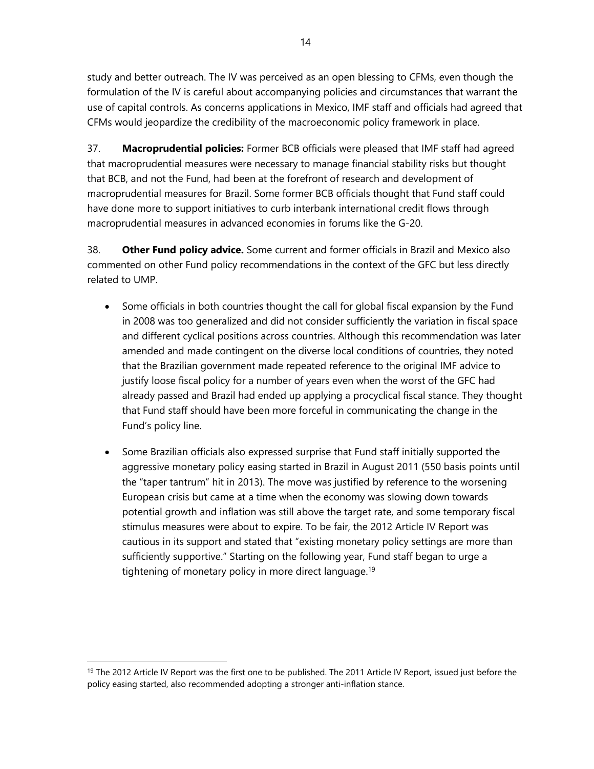study and better outreach. The IV was perceived as an open blessing to CFMs, even though the formulation of the IV is careful about accompanying policies and circumstances that warrant the use of capital controls. As concerns applications in Mexico, IMF staff and officials had agreed that CFMs would jeopardize the credibility of the macroeconomic policy framework in place.

37. **Macroprudential policies:** Former BCB officials were pleased that IMF staff had agreed that macroprudential measures were necessary to manage financial stability risks but thought that BCB, and not the Fund, had been at the forefront of research and development of macroprudential measures for Brazil. Some former BCB officials thought that Fund staff could have done more to support initiatives to curb interbank international credit flows through macroprudential measures in advanced economies in forums like the G-20.

38. **Other Fund policy advice.** Some current and former officials in Brazil and Mexico also commented on other Fund policy recommendations in the context of the GFC but less directly related to UMP.

- Some officials in both countries thought the call for global fiscal expansion by the Fund in 2008 was too generalized and did not consider sufficiently the variation in fiscal space and different cyclical positions across countries. Although this recommendation was later amended and made contingent on the diverse local conditions of countries, they noted that the Brazilian government made repeated reference to the original IMF advice to justify loose fiscal policy for a number of years even when the worst of the GFC had already passed and Brazil had ended up applying a procyclical fiscal stance. They thought that Fund staff should have been more forceful in communicating the change in the Fund's policy line.
- Some Brazilian officials also expressed surprise that Fund staff initially supported the aggressive monetary policy easing started in Brazil in August 2011 (550 basis points until the "taper tantrum" hit in 2013). The move was justified by reference to the worsening European crisis but came at a time when the economy was slowing down towards potential growth and inflation was still above the target rate, and some temporary fiscal stimulus measures were about to expire. To be fair, the 2012 Article IV Report was cautious in its support and stated that "existing monetary policy settings are more than sufficiently supportive." Starting on the following year, Fund staff began to urge a tightening of monetary policy in more direct language.<sup>19</sup>

<sup>&</sup>lt;sup>19</sup> The 2012 Article IV Report was the first one to be published. The 2011 Article IV Report, issued just before the policy easing started, also recommended adopting a stronger anti-inflation stance.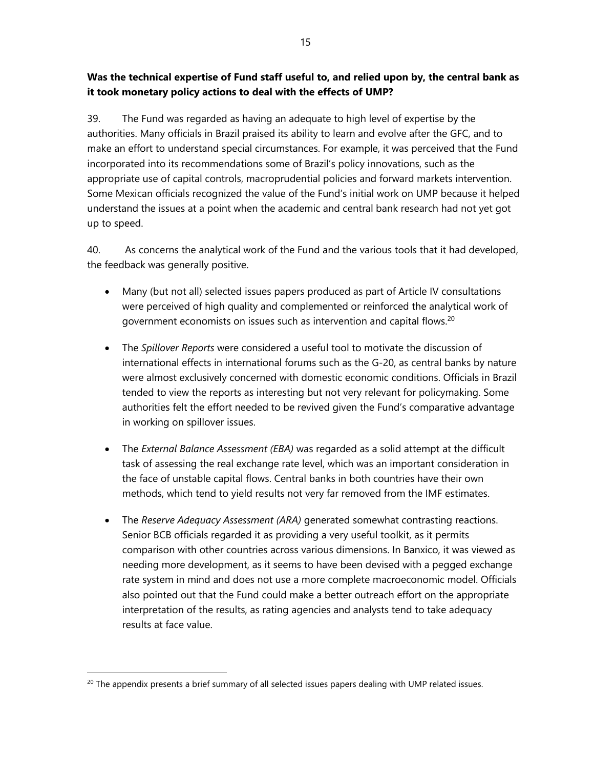## **Was the technical expertise of Fund staff useful to, and relied upon by, the central bank as it took monetary policy actions to deal with the effects of UMP?**

39. The Fund was regarded as having an adequate to high level of expertise by the authorities. Many officials in Brazil praised its ability to learn and evolve after the GFC, and to make an effort to understand special circumstances. For example, it was perceived that the Fund incorporated into its recommendations some of Brazil's policy innovations, such as the appropriate use of capital controls, macroprudential policies and forward markets intervention. Some Mexican officials recognized the value of the Fund's initial work on UMP because it helped understand the issues at a point when the academic and central bank research had not yet got up to speed.

40. As concerns the analytical work of the Fund and the various tools that it had developed, the feedback was generally positive.

- Many (but not all) selected issues papers produced as part of Article IV consultations were perceived of high quality and complemented or reinforced the analytical work of government economists on issues such as intervention and capital flows.20
- The *Spillover Reports* were considered a useful tool to motivate the discussion of international effects in international forums such as the G-20, as central banks by nature were almost exclusively concerned with domestic economic conditions. Officials in Brazil tended to view the reports as interesting but not very relevant for policymaking. Some authorities felt the effort needed to be revived given the Fund's comparative advantage in working on spillover issues.
- The *External Balance Assessment (EBA)* was regarded as a solid attempt at the difficult task of assessing the real exchange rate level, which was an important consideration in the face of unstable capital flows. Central banks in both countries have their own methods, which tend to yield results not very far removed from the IMF estimates.
- The *Reserve Adequacy Assessment (ARA)* generated somewhat contrasting reactions. Senior BCB officials regarded it as providing a very useful toolkit, as it permits comparison with other countries across various dimensions. In Banxico, it was viewed as needing more development, as it seems to have been devised with a pegged exchange rate system in mind and does not use a more complete macroeconomic model. Officials also pointed out that the Fund could make a better outreach effort on the appropriate interpretation of the results, as rating agencies and analysts tend to take adequacy results at face value.

-

<sup>&</sup>lt;sup>20</sup> The appendix presents a brief summary of all selected issues papers dealing with UMP related issues.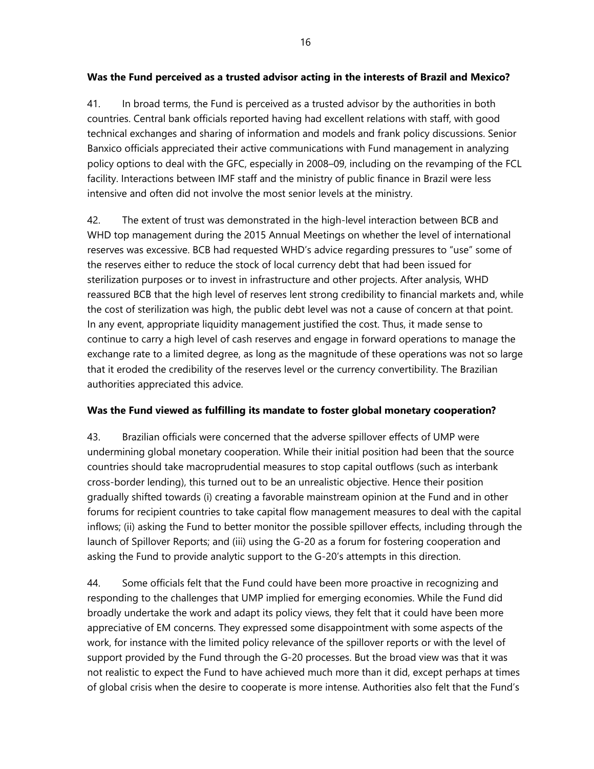## **Was the Fund perceived as a trusted advisor acting in the interests of Brazil and Mexico?**

41. In broad terms, the Fund is perceived as a trusted advisor by the authorities in both countries. Central bank officials reported having had excellent relations with staff, with good technical exchanges and sharing of information and models and frank policy discussions. Senior Banxico officials appreciated their active communications with Fund management in analyzing policy options to deal with the GFC, especially in 2008–09, including on the revamping of the FCL facility. Interactions between IMF staff and the ministry of public finance in Brazil were less intensive and often did not involve the most senior levels at the ministry.

42. The extent of trust was demonstrated in the high-level interaction between BCB and WHD top management during the 2015 Annual Meetings on whether the level of international reserves was excessive. BCB had requested WHD's advice regarding pressures to "use" some of the reserves either to reduce the stock of local currency debt that had been issued for sterilization purposes or to invest in infrastructure and other projects. After analysis, WHD reassured BCB that the high level of reserves lent strong credibility to financial markets and, while the cost of sterilization was high, the public debt level was not a cause of concern at that point. In any event, appropriate liquidity management justified the cost. Thus, it made sense to continue to carry a high level of cash reserves and engage in forward operations to manage the exchange rate to a limited degree, as long as the magnitude of these operations was not so large that it eroded the credibility of the reserves level or the currency convertibility. The Brazilian authorities appreciated this advice.

## **Was the Fund viewed as fulfilling its mandate to foster global monetary cooperation?**

43. Brazilian officials were concerned that the adverse spillover effects of UMP were undermining global monetary cooperation. While their initial position had been that the source countries should take macroprudential measures to stop capital outflows (such as interbank cross-border lending), this turned out to be an unrealistic objective. Hence their position gradually shifted towards (i) creating a favorable mainstream opinion at the Fund and in other forums for recipient countries to take capital flow management measures to deal with the capital inflows; (ii) asking the Fund to better monitor the possible spillover effects, including through the launch of Spillover Reports; and (iii) using the G-20 as a forum for fostering cooperation and asking the Fund to provide analytic support to the G-20's attempts in this direction.

44. Some officials felt that the Fund could have been more proactive in recognizing and responding to the challenges that UMP implied for emerging economies. While the Fund did broadly undertake the work and adapt its policy views, they felt that it could have been more appreciative of EM concerns. They expressed some disappointment with some aspects of the work, for instance with the limited policy relevance of the spillover reports or with the level of support provided by the Fund through the G-20 processes. But the broad view was that it was not realistic to expect the Fund to have achieved much more than it did, except perhaps at times of global crisis when the desire to cooperate is more intense. Authorities also felt that the Fund's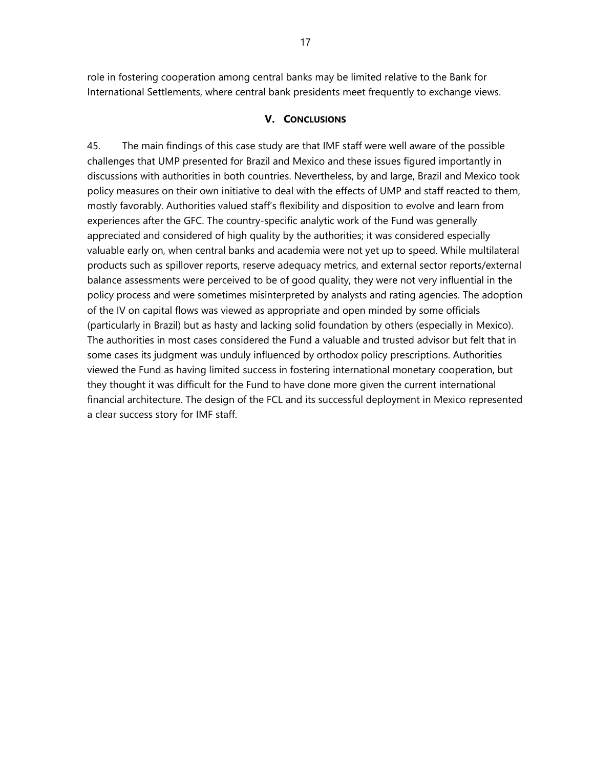role in fostering cooperation among central banks may be limited relative to the Bank for International Settlements, where central bank presidents meet frequently to exchange views.

### **V. CONCLUSIONS**

45. The main findings of this case study are that IMF staff were well aware of the possible challenges that UMP presented for Brazil and Mexico and these issues figured importantly in discussions with authorities in both countries. Nevertheless, by and large, Brazil and Mexico took policy measures on their own initiative to deal with the effects of UMP and staff reacted to them, mostly favorably. Authorities valued staff's flexibility and disposition to evolve and learn from experiences after the GFC. The country-specific analytic work of the Fund was generally appreciated and considered of high quality by the authorities; it was considered especially valuable early on, when central banks and academia were not yet up to speed. While multilateral products such as spillover reports, reserve adequacy metrics, and external sector reports/external balance assessments were perceived to be of good quality, they were not very influential in the policy process and were sometimes misinterpreted by analysts and rating agencies. The adoption of the IV on capital flows was viewed as appropriate and open minded by some officials (particularly in Brazil) but as hasty and lacking solid foundation by others (especially in Mexico). The authorities in most cases considered the Fund a valuable and trusted advisor but felt that in some cases its judgment was unduly influenced by orthodox policy prescriptions. Authorities viewed the Fund as having limited success in fostering international monetary cooperation, but they thought it was difficult for the Fund to have done more given the current international financial architecture. The design of the FCL and its successful deployment in Mexico represented a clear success story for IMF staff.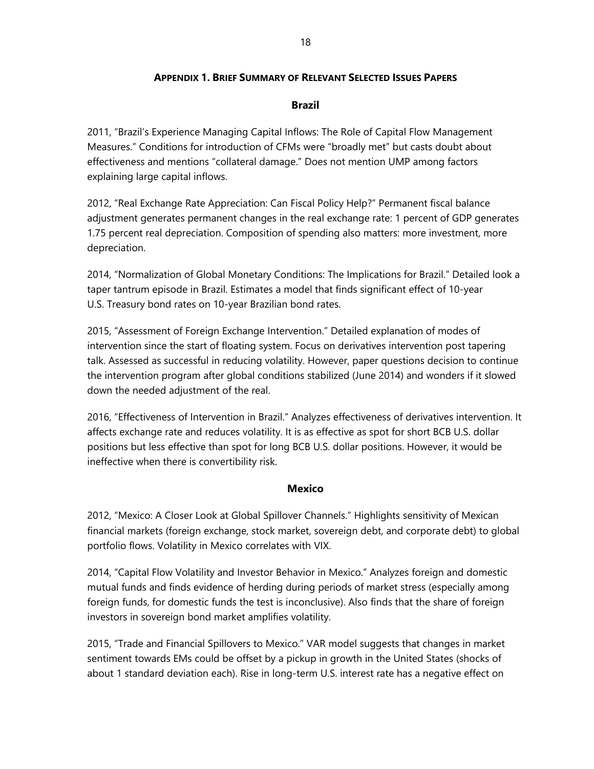## **APPENDIX 1. BRIEF SUMMARY OF RELEVANT SELECTED ISSUES PAPERS**

## **Brazil**

2011, "Brazil's Experience Managing Capital Inflows: The Role of Capital Flow Management Measures." Conditions for introduction of CFMs were "broadly met" but casts doubt about effectiveness and mentions "collateral damage." Does not mention UMP among factors explaining large capital inflows.

2012, "Real Exchange Rate Appreciation: Can Fiscal Policy Help?" Permanent fiscal balance adjustment generates permanent changes in the real exchange rate: 1 percent of GDP generates 1.75 percent real depreciation. Composition of spending also matters: more investment, more depreciation.

2014, "Normalization of Global Monetary Conditions: The Implications for Brazil." Detailed look a taper tantrum episode in Brazil. Estimates a model that finds significant effect of 10-year U.S. Treasury bond rates on 10-year Brazilian bond rates.

2015, "Assessment of Foreign Exchange Intervention." Detailed explanation of modes of intervention since the start of floating system. Focus on derivatives intervention post tapering talk. Assessed as successful in reducing volatility. However, paper questions decision to continue the intervention program after global conditions stabilized (June 2014) and wonders if it slowed down the needed adjustment of the real.

2016, "Effectiveness of Intervention in Brazil." Analyzes effectiveness of derivatives intervention. It affects exchange rate and reduces volatility. It is as effective as spot for short BCB U.S. dollar positions but less effective than spot for long BCB U.S. dollar positions. However, it would be ineffective when there is convertibility risk.

### **Mexico**

2012, "Mexico: A Closer Look at Global Spillover Channels." Highlights sensitivity of Mexican financial markets (foreign exchange, stock market, sovereign debt, and corporate debt) to global portfolio flows. Volatility in Mexico correlates with VIX.

2014, "Capital Flow Volatility and Investor Behavior in Mexico." Analyzes foreign and domestic mutual funds and finds evidence of herding during periods of market stress (especially among foreign funds, for domestic funds the test is inconclusive). Also finds that the share of foreign investors in sovereign bond market amplifies volatility.

2015, "Trade and Financial Spillovers to Mexico." VAR model suggests that changes in market sentiment towards EMs could be offset by a pickup in growth in the United States (shocks of about 1 standard deviation each). Rise in long-term U.S. interest rate has a negative effect on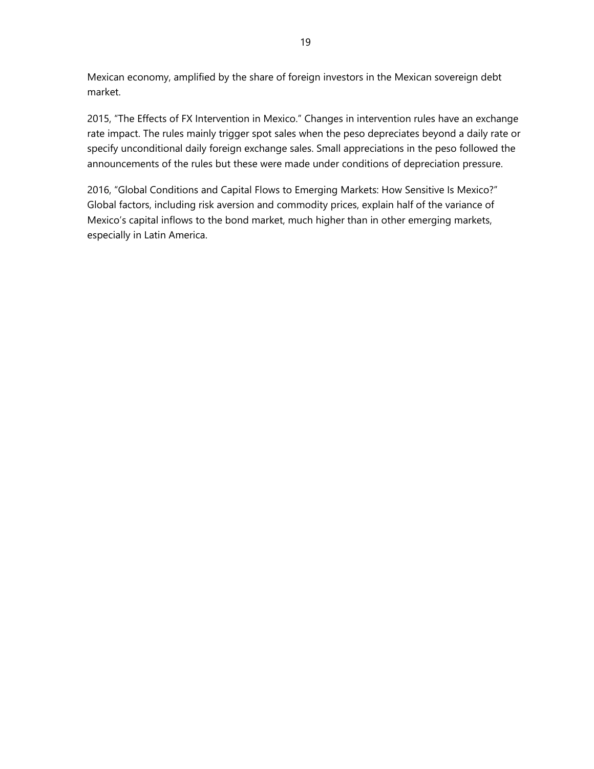Mexican economy, amplified by the share of foreign investors in the Mexican sovereign debt market.

2015, "The Effects of FX Intervention in Mexico." Changes in intervention rules have an exchange rate impact. The rules mainly trigger spot sales when the peso depreciates beyond a daily rate or specify unconditional daily foreign exchange sales. Small appreciations in the peso followed the announcements of the rules but these were made under conditions of depreciation pressure.

2016, "Global Conditions and Capital Flows to Emerging Markets: How Sensitive Is Mexico?" Global factors, including risk aversion and commodity prices, explain half of the variance of Mexico's capital inflows to the bond market, much higher than in other emerging markets, especially in Latin America.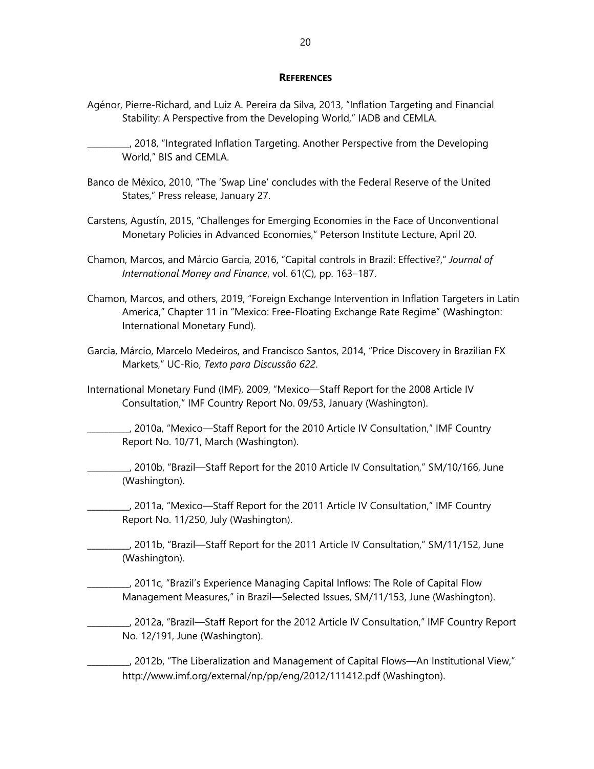#### **REFERENCES**

- Agénor, Pierre-Richard, and Luiz A. Pereira da Silva, 2013, "Inflation Targeting and Financial Stability: A Perspective from the Developing World," IADB and CEMLA.
- \_\_\_\_\_\_\_\_\_\_, 2018, "Integrated Inflation Targeting. Another Perspective from the Developing World," BIS and CEMLA.
- Banco de México, 2010, "The 'Swap Line' concludes with the Federal Reserve of the United States," Press release, January 27.
- Carstens, Agustín, 2015, "Challenges for Emerging Economies in the Face of Unconventional Monetary Policies in Advanced Economies," Peterson Institute Lecture, April 20.
- Chamon, Marcos, and Márcio Garcia, 2016, "Capital controls in Brazil: Effective?," *Journal of International Money and Finance*, vol. 61(C), pp. 163–187.
- Chamon, Marcos, and others, 2019, "Foreign Exchange Intervention in Inflation Targeters in Latin America," Chapter 11 in "Mexico: Free-Floating Exchange Rate Regime" (Washington: International Monetary Fund).
- Garcia, Márcio, Marcelo Medeiros, and Francisco Santos, 2014, "Price Discovery in Brazilian FX Markets," UC-Rio, *Texto para Discussão 622*.
- International Monetary Fund (IMF), 2009, "Mexico—Staff Report for the 2008 Article IV Consultation," IMF Country Report No. 09/53, January (Washington).
	- \_\_\_\_\_\_\_\_\_\_, 2010a, "Mexico—Staff Report for the 2010 Article IV Consultation," IMF Country Report No. 10/71, March (Washington).
- \_\_\_\_\_\_\_\_\_\_, 2010b, "Brazil—Staff Report for the 2010 Article IV Consultation," SM/10/166, June (Washington).
- \_\_\_\_\_\_\_\_\_\_, 2011a, "Mexico—Staff Report for the 2011 Article IV Consultation," IMF Country Report No. 11/250, July (Washington).
- \_\_\_\_\_\_\_\_\_\_, 2011b, "Brazil—Staff Report for the 2011 Article IV Consultation," SM/11/152, June (Washington).
	- \_\_\_\_\_\_\_\_\_\_, 2011c, "Brazil's Experience Managing Capital Inflows: The Role of Capital Flow Management Measures," in Brazil—Selected Issues, SM/11/153, June (Washington).
	- \_\_\_\_\_\_\_\_\_\_, 2012a, "Brazil—Staff Report for the 2012 Article IV Consultation," IMF Country Report No. 12/191, June (Washington).
	- $\_\_\_\$ , 2012b, "The Liberalization and Management of Capital Flows—An Institutional View," http://www.imf.org/external/np/pp/eng/2012/111412.pdf (Washington).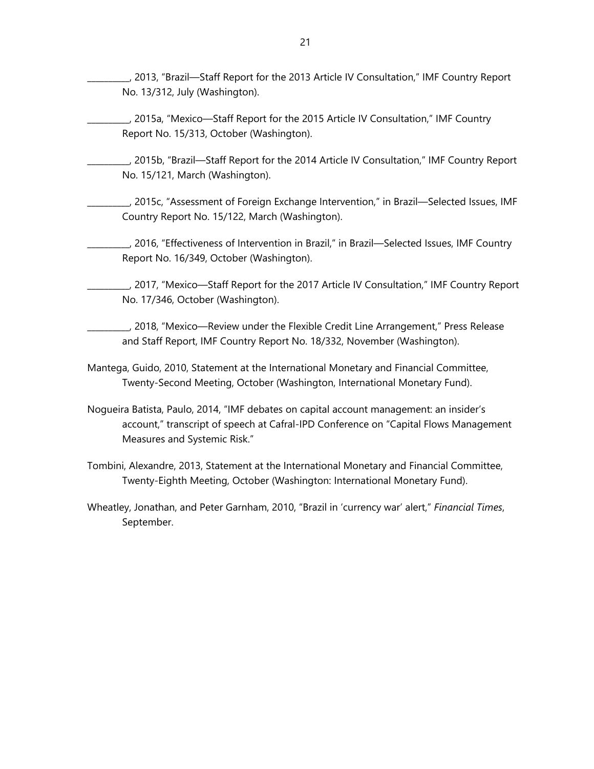\_\_\_\_\_\_\_\_\_\_, 2013, "Brazil—Staff Report for the 2013 Article IV Consultation," IMF Country Report No. 13/312, July (Washington).

- \_\_\_\_\_\_\_\_\_\_, 2015a, "Mexico—Staff Report for the 2015 Article IV Consultation," IMF Country Report No. 15/313, October (Washington).
- \_\_\_\_\_\_\_\_\_\_, 2015b, "Brazil—Staff Report for the 2014 Article IV Consultation," IMF Country Report No. 15/121, March (Washington).
- \_\_\_\_\_\_\_\_\_\_, 2015c, "Assessment of Foreign Exchange Intervention," in Brazil—Selected Issues, IMF Country Report No. 15/122, March (Washington).
- \_\_\_\_\_\_\_\_\_\_, 2016, "Effectiveness of Intervention in Brazil," in Brazil—Selected Issues, IMF Country Report No. 16/349, October (Washington).
- \_\_\_\_\_\_\_\_\_\_, 2017, "Mexico—Staff Report for the 2017 Article IV Consultation," IMF Country Report No. 17/346, October (Washington).
- \_\_\_\_\_\_\_\_\_\_, 2018, "Mexico—Review under the Flexible Credit Line Arrangement," Press Release and Staff Report, IMF Country Report No. 18/332, November (Washington).
- Mantega, Guido, 2010, Statement at the International Monetary and Financial Committee, Twenty-Second Meeting, October (Washington, International Monetary Fund).
- Nogueira Batista, Paulo, 2014, "IMF debates on capital account management: an insider's account," transcript of speech at Cafral-IPD Conference on "Capital Flows Management Measures and Systemic Risk."
- Tombini, Alexandre, 2013, Statement at the International Monetary and Financial Committee, Twenty-Eighth Meeting, October (Washington: International Monetary Fund).
- Wheatley, Jonathan, and Peter Garnham, 2010, "Brazil in 'currency war' alert," *Financial Times*, September.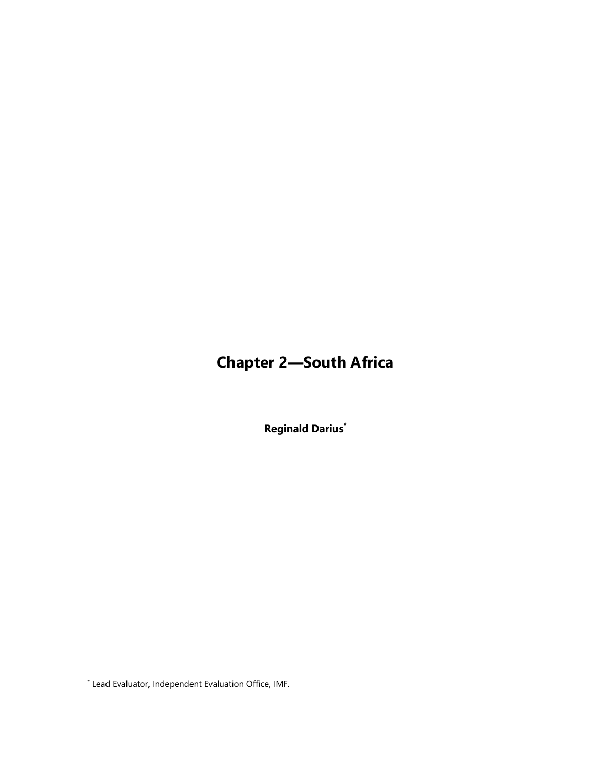# **Chapter 2—South Africa**

**Reginald Darius\***

<sup>\*</sup> Lead Evaluator, Independent Evaluation Office, IMF.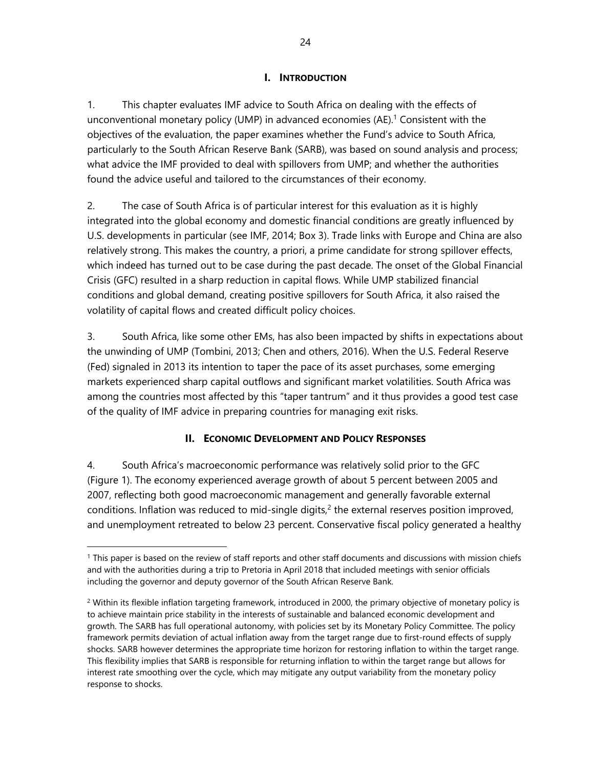## **I. INTRODUCTION**

1. This chapter evaluates IMF advice to South Africa on dealing with the effects of unconventional monetary policy (UMP) in advanced economies (AE). 1 Consistent with the objectives of the evaluation, the paper examines whether the Fund's advice to South Africa, particularly to the South African Reserve Bank (SARB), was based on sound analysis and process; what advice the IMF provided to deal with spillovers from UMP; and whether the authorities found the advice useful and tailored to the circumstances of their economy.

2. The case of South Africa is of particular interest for this evaluation as it is highly integrated into the global economy and domestic financial conditions are greatly influenced by U.S. developments in particular (see IMF, 2014; Box 3). Trade links with Europe and China are also relatively strong. This makes the country, a priori, a prime candidate for strong spillover effects, which indeed has turned out to be case during the past decade. The onset of the Global Financial Crisis (GFC) resulted in a sharp reduction in capital flows. While UMP stabilized financial conditions and global demand, creating positive spillovers for South Africa, it also raised the volatility of capital flows and created difficult policy choices.

3. South Africa, like some other EMs, has also been impacted by shifts in expectations about the unwinding of UMP (Tombini, 2013; Chen and others, 2016). When the U.S. Federal Reserve (Fed) signaled in 2013 its intention to taper the pace of its asset purchases, some emerging markets experienced sharp capital outflows and significant market volatilities. South Africa was among the countries most affected by this "taper tantrum" and it thus provides a good test case of the quality of IMF advice in preparing countries for managing exit risks.

## **II. ECONOMIC DEVELOPMENT AND POLICY RESPONSES**

4. South Africa's macroeconomic performance was relatively solid prior to the GFC (Figure 1). The economy experienced average growth of about 5 percent between 2005 and 2007, reflecting both good macroeconomic management and generally favorable external conditions. Inflation was reduced to mid-single digits, $<sup>2</sup>$  the external reserves position improved,</sup> and unemployment retreated to below 23 percent. Conservative fiscal policy generated a healthy

-

<sup>&</sup>lt;sup>1</sup> This paper is based on the review of staff reports and other staff documents and discussions with mission chiefs and with the authorities during a trip to Pretoria in April 2018 that included meetings with senior officials including the governor and deputy governor of the South African Reserve Bank.

<sup>&</sup>lt;sup>2</sup> Within its flexible inflation targeting framework, introduced in 2000, the primary objective of monetary policy is to achieve maintain price stability in the interests of sustainable and balanced economic development and growth. The SARB has full operational autonomy, with policies set by its Monetary Policy Committee. The policy framework permits deviation of actual inflation away from the target range due to first-round effects of supply shocks. SARB however determines the appropriate time horizon for restoring inflation to within the target range. This flexibility implies that SARB is responsible for returning inflation to within the target range but allows for interest rate smoothing over the cycle, which may mitigate any output variability from the monetary policy response to shocks.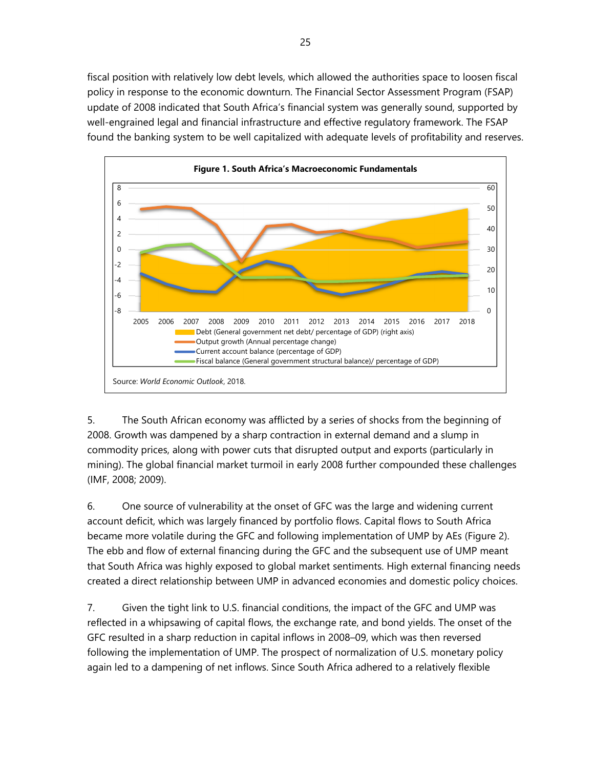fiscal position with relatively low debt levels, which allowed the authorities space to loosen fiscal policy in response to the economic downturn. The Financial Sector Assessment Program (FSAP) update of 2008 indicated that South Africa's financial system was generally sound, supported by well-engrained legal and financial infrastructure and effective regulatory framework. The FSAP found the banking system to be well capitalized with adequate levels of profitability and reserves.



5. The South African economy was afflicted by a series of shocks from the beginning of 2008. Growth was dampened by a sharp contraction in external demand and a slump in commodity prices, along with power cuts that disrupted output and exports (particularly in mining). The global financial market turmoil in early 2008 further compounded these challenges (IMF, 2008; 2009).

6. One source of vulnerability at the onset of GFC was the large and widening current account deficit, which was largely financed by portfolio flows. Capital flows to South Africa became more volatile during the GFC and following implementation of UMP by AEs (Figure 2). The ebb and flow of external financing during the GFC and the subsequent use of UMP meant that South Africa was highly exposed to global market sentiments. High external financing needs created a direct relationship between UMP in advanced economies and domestic policy choices.

7. Given the tight link to U.S. financial conditions, the impact of the GFC and UMP was reflected in a whipsawing of capital flows, the exchange rate, and bond yields. The onset of the GFC resulted in a sharp reduction in capital inflows in 2008–09, which was then reversed following the implementation of UMP. The prospect of normalization of U.S. monetary policy again led to a dampening of net inflows. Since South Africa adhered to a relatively flexible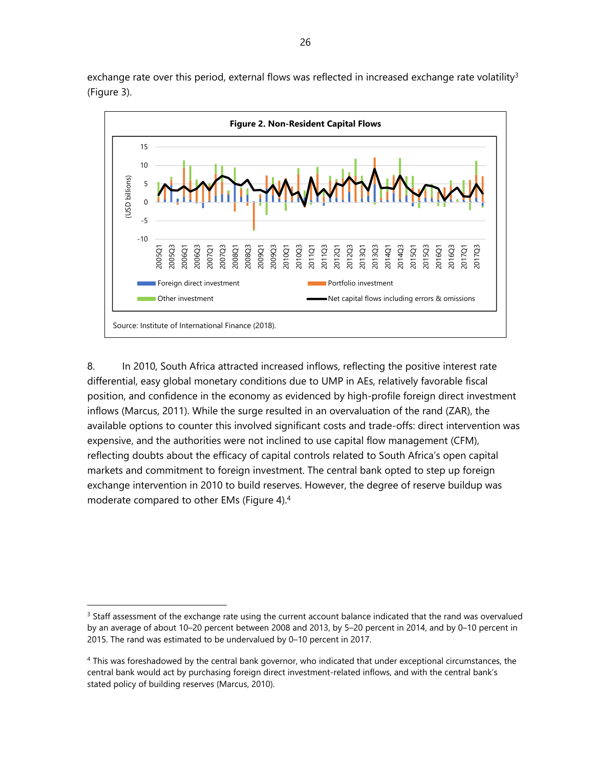exchange rate over this period, external flows was reflected in increased exchange rate volatility<sup>3</sup> (Figure 3).



8. In 2010, South Africa attracted increased inflows, reflecting the positive interest rate differential, easy global monetary conditions due to UMP in AEs, relatively favorable fiscal position, and confidence in the economy as evidenced by high-profile foreign direct investment inflows (Marcus, 2011). While the surge resulted in an overvaluation of the rand (ZAR), the available options to counter this involved significant costs and trade-offs: direct intervention was expensive, and the authorities were not inclined to use capital flow management (CFM), reflecting doubts about the efficacy of capital controls related to South Africa's open capital markets and commitment to foreign investment. The central bank opted to step up foreign exchange intervention in 2010 to build reserves. However, the degree of reserve buildup was moderate compared to other EMs (Figure 4).4

-

<sup>&</sup>lt;sup>3</sup> Staff assessment of the exchange rate using the current account balance indicated that the rand was overvalued by an average of about 10–20 percent between 2008 and 2013, by 5–20 percent in 2014, and by 0–10 percent in 2015. The rand was estimated to be undervalued by 0–10 percent in 2017.

<sup>4</sup> This was foreshadowed by the central bank governor, who indicated that under exceptional circumstances, the central bank would act by purchasing foreign direct investment-related inflows, and with the central bank's stated policy of building reserves (Marcus, 2010).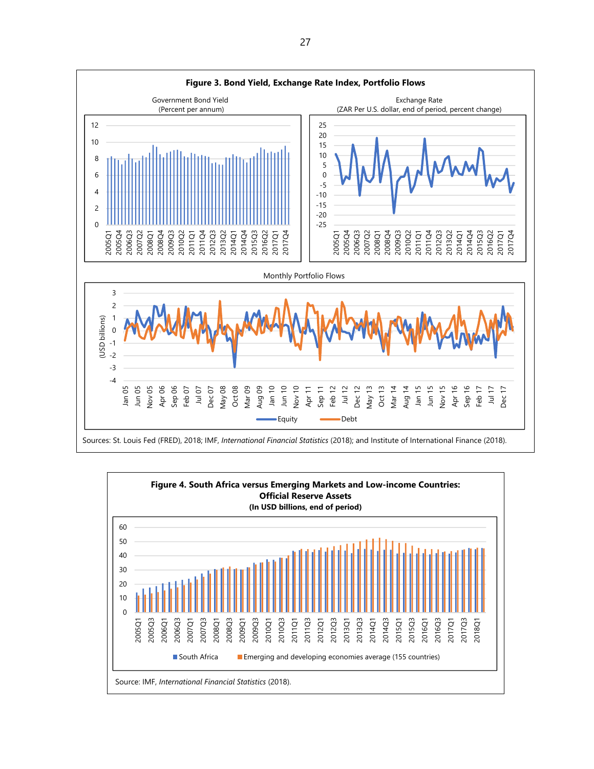

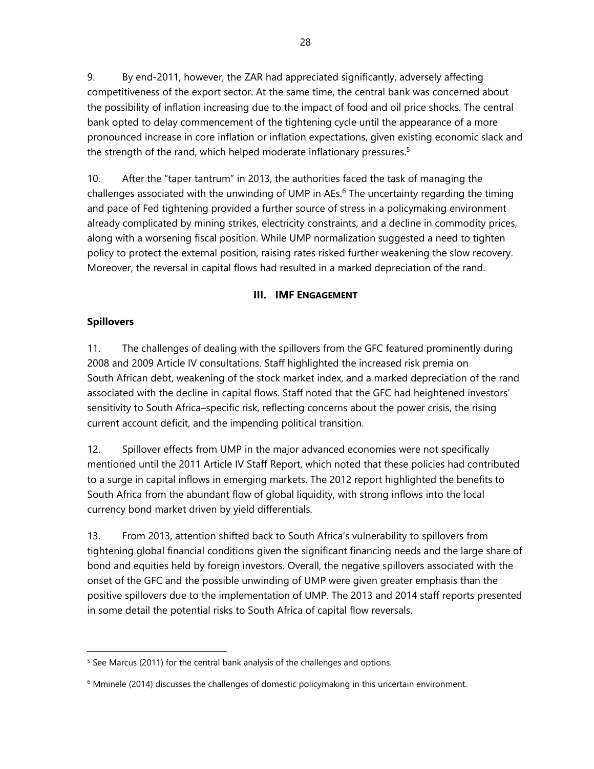9. By end-2011, however, the ZAR had appreciated significantly, adversely affecting competitiveness of the export sector. At the same time, the central bank was concerned about the possibility of inflation increasing due to the impact of food and oil price shocks. The central bank opted to delay commencement of the tightening cycle until the appearance of a more pronounced increase in core inflation or inflation expectations, given existing economic slack and the strength of the rand, which helped moderate inflationary pressures.<sup>5</sup>

10. After the "taper tantrum" in 2013, the authorities faced the task of managing the challenges associated with the unwinding of UMP in AEs.<sup>6</sup> The uncertainty regarding the timing and pace of Fed tightening provided a further source of stress in a policymaking environment already complicated by mining strikes, electricity constraints, and a decline in commodity prices, along with a worsening fiscal position. While UMP normalization suggested a need to tighten policy to protect the external position, raising rates risked further weakening the slow recovery. Moreover, the reversal in capital flows had resulted in a marked depreciation of the rand.

## **III. IMF ENGAGEMENT**

## **Spillovers**

1

11. The challenges of dealing with the spillovers from the GFC featured prominently during 2008 and 2009 Article IV consultations. Staff highlighted the increased risk premia on South African debt, weakening of the stock market index, and a marked depreciation of the rand associated with the decline in capital flows. Staff noted that the GFC had heightened investors' sensitivity to South Africa–specific risk, reflecting concerns about the power crisis, the rising current account deficit, and the impending political transition.

12. Spillover effects from UMP in the major advanced economies were not specifically mentioned until the 2011 Article IV Staff Report, which noted that these policies had contributed to a surge in capital inflows in emerging markets. The 2012 report highlighted the benefits to South Africa from the abundant flow of global liquidity, with strong inflows into the local currency bond market driven by yield differentials.

13. From 2013, attention shifted back to South Africa's vulnerability to spillovers from tightening global financial conditions given the significant financing needs and the large share of bond and equities held by foreign investors. Overall, the negative spillovers associated with the onset of the GFC and the possible unwinding of UMP were given greater emphasis than the positive spillovers due to the implementation of UMP. The 2013 and 2014 staff reports presented in some detail the potential risks to South Africa of capital flow reversals.

 $5$  See Marcus (2011) for the central bank analysis of the challenges and options.

 $6$  Mminele (2014) discusses the challenges of domestic policymaking in this uncertain environment.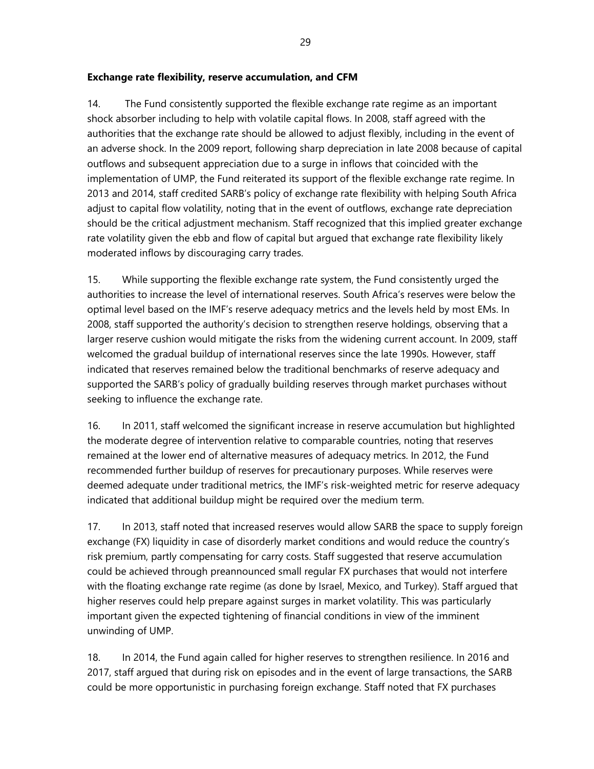## **Exchange rate flexibility, reserve accumulation, and CFM**

14. The Fund consistently supported the flexible exchange rate regime as an important shock absorber including to help with volatile capital flows. In 2008, staff agreed with the authorities that the exchange rate should be allowed to adjust flexibly, including in the event of an adverse shock. In the 2009 report, following sharp depreciation in late 2008 because of capital outflows and subsequent appreciation due to a surge in inflows that coincided with the implementation of UMP, the Fund reiterated its support of the flexible exchange rate regime. In 2013 and 2014, staff credited SARB's policy of exchange rate flexibility with helping South Africa adjust to capital flow volatility, noting that in the event of outflows, exchange rate depreciation should be the critical adjustment mechanism. Staff recognized that this implied greater exchange rate volatility given the ebb and flow of capital but argued that exchange rate flexibility likely moderated inflows by discouraging carry trades.

15. While supporting the flexible exchange rate system, the Fund consistently urged the authorities to increase the level of international reserves. South Africa's reserves were below the optimal level based on the IMF's reserve adequacy metrics and the levels held by most EMs. In 2008, staff supported the authority's decision to strengthen reserve holdings, observing that a larger reserve cushion would mitigate the risks from the widening current account. In 2009, staff welcomed the gradual buildup of international reserves since the late 1990s. However, staff indicated that reserves remained below the traditional benchmarks of reserve adequacy and supported the SARB's policy of gradually building reserves through market purchases without seeking to influence the exchange rate.

16. In 2011, staff welcomed the significant increase in reserve accumulation but highlighted the moderate degree of intervention relative to comparable countries, noting that reserves remained at the lower end of alternative measures of adequacy metrics. In 2012, the Fund recommended further buildup of reserves for precautionary purposes. While reserves were deemed adequate under traditional metrics, the IMF's risk-weighted metric for reserve adequacy indicated that additional buildup might be required over the medium term.

17. In 2013, staff noted that increased reserves would allow SARB the space to supply foreign exchange (FX) liquidity in case of disorderly market conditions and would reduce the country's risk premium, partly compensating for carry costs. Staff suggested that reserve accumulation could be achieved through preannounced small regular FX purchases that would not interfere with the floating exchange rate regime (as done by Israel, Mexico, and Turkey). Staff argued that higher reserves could help prepare against surges in market volatility. This was particularly important given the expected tightening of financial conditions in view of the imminent unwinding of UMP.

18. In 2014, the Fund again called for higher reserves to strengthen resilience. In 2016 and 2017, staff argued that during risk on episodes and in the event of large transactions, the SARB could be more opportunistic in purchasing foreign exchange. Staff noted that FX purchases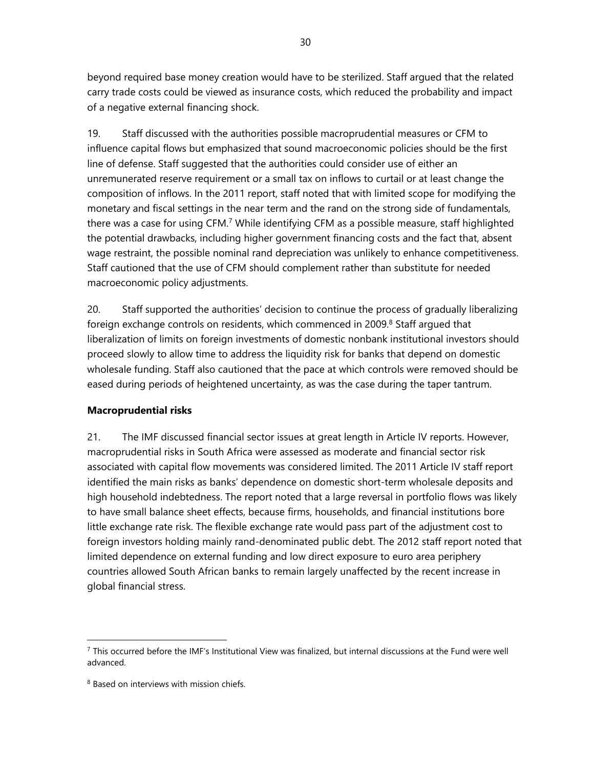beyond required base money creation would have to be sterilized. Staff argued that the related carry trade costs could be viewed as insurance costs, which reduced the probability and impact of a negative external financing shock.

19. Staff discussed with the authorities possible macroprudential measures or CFM to influence capital flows but emphasized that sound macroeconomic policies should be the first line of defense. Staff suggested that the authorities could consider use of either an unremunerated reserve requirement or a small tax on inflows to curtail or at least change the composition of inflows. In the 2011 report, staff noted that with limited scope for modifying the monetary and fiscal settings in the near term and the rand on the strong side of fundamentals, there was a case for using CFM.<sup>7</sup> While identifying CFM as a possible measure, staff highlighted the potential drawbacks, including higher government financing costs and the fact that, absent wage restraint, the possible nominal rand depreciation was unlikely to enhance competitiveness. Staff cautioned that the use of CFM should complement rather than substitute for needed macroeconomic policy adjustments.

20. Staff supported the authorities' decision to continue the process of gradually liberalizing foreign exchange controls on residents, which commenced in 2009. 8 Staff argued that liberalization of limits on foreign investments of domestic nonbank institutional investors should proceed slowly to allow time to address the liquidity risk for banks that depend on domestic wholesale funding. Staff also cautioned that the pace at which controls were removed should be eased during periods of heightened uncertainty, as was the case during the taper tantrum.

## **Macroprudential risks**

21. The IMF discussed financial sector issues at great length in Article IV reports. However, macroprudential risks in South Africa were assessed as moderate and financial sector risk associated with capital flow movements was considered limited. The 2011 Article IV staff report identified the main risks as banks' dependence on domestic short-term wholesale deposits and high household indebtedness. The report noted that a large reversal in portfolio flows was likely to have small balance sheet effects, because firms, households, and financial institutions bore little exchange rate risk. The flexible exchange rate would pass part of the adjustment cost to foreign investors holding mainly rand-denominated public debt. The 2012 staff report noted that limited dependence on external funding and low direct exposure to euro area periphery countries allowed South African banks to remain largely unaffected by the recent increase in global financial stress.

1

 $^7$  This occurred before the IMF's Institutional View was finalized, but internal discussions at the Fund were well advanced.

<sup>&</sup>lt;sup>8</sup> Based on interviews with mission chiefs.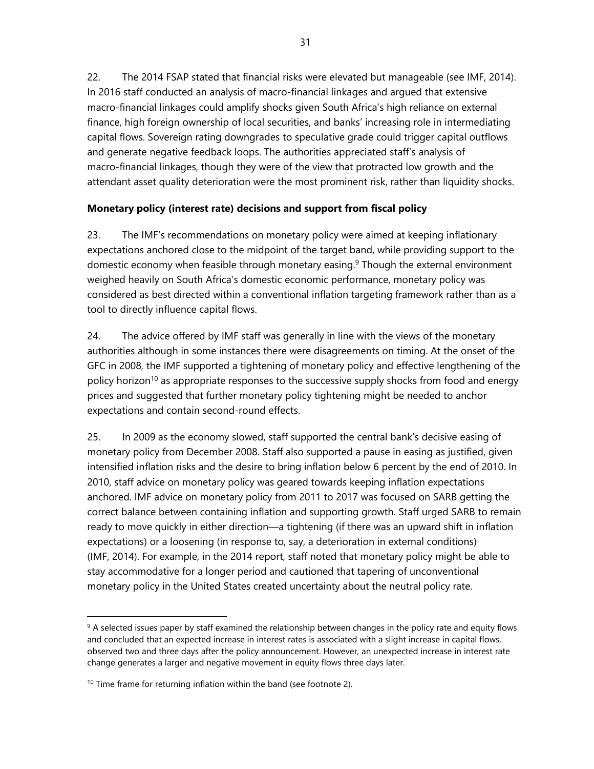22. The 2014 FSAP stated that financial risks were elevated but manageable (see IMF, 2014). In 2016 staff conducted an analysis of macro-financial linkages and argued that extensive macro-financial linkages could amplify shocks given South Africa's high reliance on external finance, high foreign ownership of local securities, and banks' increasing role in intermediating capital flows. Sovereign rating downgrades to speculative grade could trigger capital outflows and generate negative feedback loops. The authorities appreciated staff's analysis of macro-financial linkages, though they were of the view that protracted low growth and the attendant asset quality deterioration were the most prominent risk, rather than liquidity shocks.

# **Monetary policy (interest rate) decisions and support from fiscal policy**

23. The IMF's recommendations on monetary policy were aimed at keeping inflationary expectations anchored close to the midpoint of the target band, while providing support to the domestic economy when feasible through monetary easing.<sup>9</sup> Though the external environment weighed heavily on South Africa's domestic economic performance, monetary policy was considered as best directed within a conventional inflation targeting framework rather than as a tool to directly influence capital flows.

24. The advice offered by IMF staff was generally in line with the views of the monetary authorities although in some instances there were disagreements on timing. At the onset of the GFC in 2008, the IMF supported a tightening of monetary policy and effective lengthening of the policy horizon<sup>10</sup> as appropriate responses to the successive supply shocks from food and energy prices and suggested that further monetary policy tightening might be needed to anchor expectations and contain second-round effects.

25. In 2009 as the economy slowed, staff supported the central bank's decisive easing of monetary policy from December 2008. Staff also supported a pause in easing as justified, given intensified inflation risks and the desire to bring inflation below 6 percent by the end of 2010. In 2010, staff advice on monetary policy was geared towards keeping inflation expectations anchored. IMF advice on monetary policy from 2011 to 2017 was focused on SARB getting the correct balance between containing inflation and supporting growth. Staff urged SARB to remain ready to move quickly in either direction—a tightening (if there was an upward shift in inflation expectations) or a loosening (in response to, say, a deterioration in external conditions) (IMF, 2014). For example, in the 2014 report, staff noted that monetary policy might be able to stay accommodative for a longer period and cautioned that tapering of unconventional monetary policy in the United States created uncertainty about the neutral policy rate.

<sup>&</sup>lt;sup>9</sup> A selected issues paper by staff examined the relationship between changes in the policy rate and equity flows and concluded that an expected increase in interest rates is associated with a slight increase in capital flows, observed two and three days after the policy announcement. However, an unexpected increase in interest rate change generates a larger and negative movement in equity flows three days later.

 $10$  Time frame for returning inflation within the band (see footnote 2).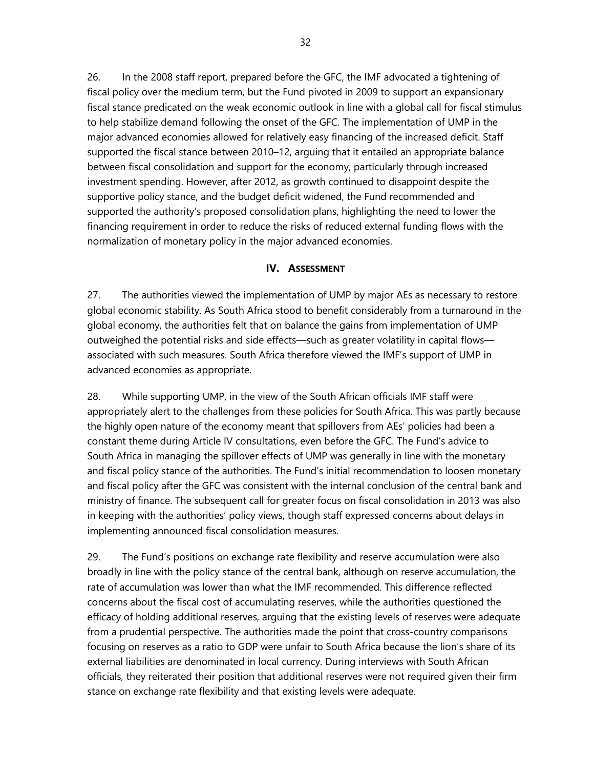26. In the 2008 staff report, prepared before the GFC, the IMF advocated a tightening of fiscal policy over the medium term, but the Fund pivoted in 2009 to support an expansionary fiscal stance predicated on the weak economic outlook in line with a global call for fiscal stimulus to help stabilize demand following the onset of the GFC. The implementation of UMP in the major advanced economies allowed for relatively easy financing of the increased deficit. Staff supported the fiscal stance between 2010–12, arguing that it entailed an appropriate balance between fiscal consolidation and support for the economy, particularly through increased investment spending. However, after 2012, as growth continued to disappoint despite the supportive policy stance, and the budget deficit widened, the Fund recommended and supported the authority's proposed consolidation plans, highlighting the need to lower the financing requirement in order to reduce the risks of reduced external funding flows with the normalization of monetary policy in the major advanced economies.

## **IV. ASSESSMENT**

27. The authorities viewed the implementation of UMP by major AEs as necessary to restore global economic stability. As South Africa stood to benefit considerably from a turnaround in the global economy, the authorities felt that on balance the gains from implementation of UMP outweighed the potential risks and side effects—such as greater volatility in capital flows associated with such measures. South Africa therefore viewed the IMF's support of UMP in advanced economies as appropriate.

28. While supporting UMP, in the view of the South African officials IMF staff were appropriately alert to the challenges from these policies for South Africa. This was partly because the highly open nature of the economy meant that spillovers from AEs' policies had been a constant theme during Article IV consultations, even before the GFC. The Fund's advice to South Africa in managing the spillover effects of UMP was generally in line with the monetary and fiscal policy stance of the authorities. The Fund's initial recommendation to loosen monetary and fiscal policy after the GFC was consistent with the internal conclusion of the central bank and ministry of finance. The subsequent call for greater focus on fiscal consolidation in 2013 was also in keeping with the authorities' policy views, though staff expressed concerns about delays in implementing announced fiscal consolidation measures.

29. The Fund's positions on exchange rate flexibility and reserve accumulation were also broadly in line with the policy stance of the central bank, although on reserve accumulation, the rate of accumulation was lower than what the IMF recommended. This difference reflected concerns about the fiscal cost of accumulating reserves, while the authorities questioned the efficacy of holding additional reserves, arguing that the existing levels of reserves were adequate from a prudential perspective. The authorities made the point that cross-country comparisons focusing on reserves as a ratio to GDP were unfair to South Africa because the lion's share of its external liabilities are denominated in local currency. During interviews with South African officials, they reiterated their position that additional reserves were not required given their firm stance on exchange rate flexibility and that existing levels were adequate.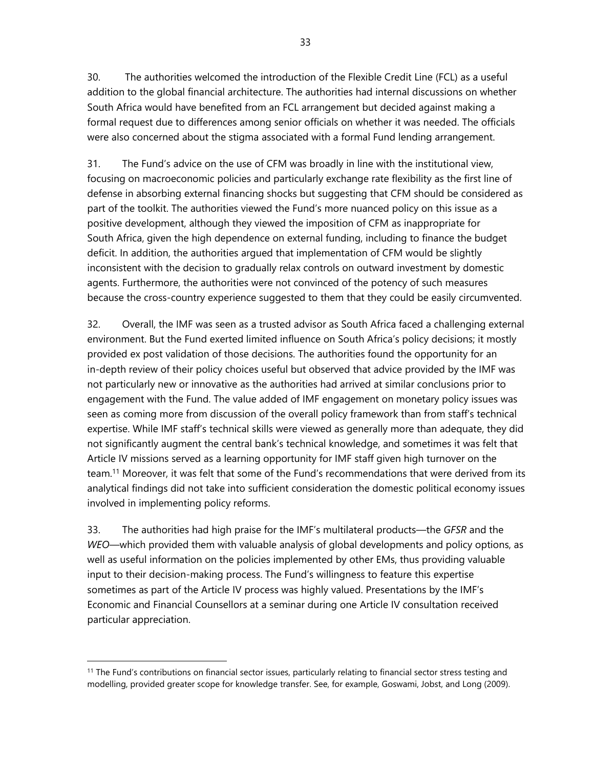33

30. The authorities welcomed the introduction of the Flexible Credit Line (FCL) as a useful addition to the global financial architecture. The authorities had internal discussions on whether South Africa would have benefited from an FCL arrangement but decided against making a formal request due to differences among senior officials on whether it was needed. The officials were also concerned about the stigma associated with a formal Fund lending arrangement.

31. The Fund's advice on the use of CFM was broadly in line with the institutional view, focusing on macroeconomic policies and particularly exchange rate flexibility as the first line of defense in absorbing external financing shocks but suggesting that CFM should be considered as part of the toolkit. The authorities viewed the Fund's more nuanced policy on this issue as a positive development, although they viewed the imposition of CFM as inappropriate for South Africa, given the high dependence on external funding, including to finance the budget deficit. In addition, the authorities argued that implementation of CFM would be slightly inconsistent with the decision to gradually relax controls on outward investment by domestic agents. Furthermore, the authorities were not convinced of the potency of such measures because the cross-country experience suggested to them that they could be easily circumvented.

32. Overall, the IMF was seen as a trusted advisor as South Africa faced a challenging external environment. But the Fund exerted limited influence on South Africa's policy decisions; it mostly provided ex post validation of those decisions. The authorities found the opportunity for an in-depth review of their policy choices useful but observed that advice provided by the IMF was not particularly new or innovative as the authorities had arrived at similar conclusions prior to engagement with the Fund. The value added of IMF engagement on monetary policy issues was seen as coming more from discussion of the overall policy framework than from staff's technical expertise. While IMF staff's technical skills were viewed as generally more than adequate, they did not significantly augment the central bank's technical knowledge, and sometimes it was felt that Article IV missions served as a learning opportunity for IMF staff given high turnover on the team.11 Moreover, it was felt that some of the Fund's recommendations that were derived from its analytical findings did not take into sufficient consideration the domestic political economy issues involved in implementing policy reforms.

33. The authorities had high praise for the IMF's multilateral products—the *GFSR* and the *WEO*—which provided them with valuable analysis of global developments and policy options, as well as useful information on the policies implemented by other EMs, thus providing valuable input to their decision-making process. The Fund's willingness to feature this expertise sometimes as part of the Article IV process was highly valued. Presentations by the IMF's Economic and Financial Counsellors at a seminar during one Article IV consultation received particular appreciation.

-

<sup>&</sup>lt;sup>11</sup> The Fund's contributions on financial sector issues, particularly relating to financial sector stress testing and modelling, provided greater scope for knowledge transfer. See, for example, Goswami, Jobst, and Long (2009).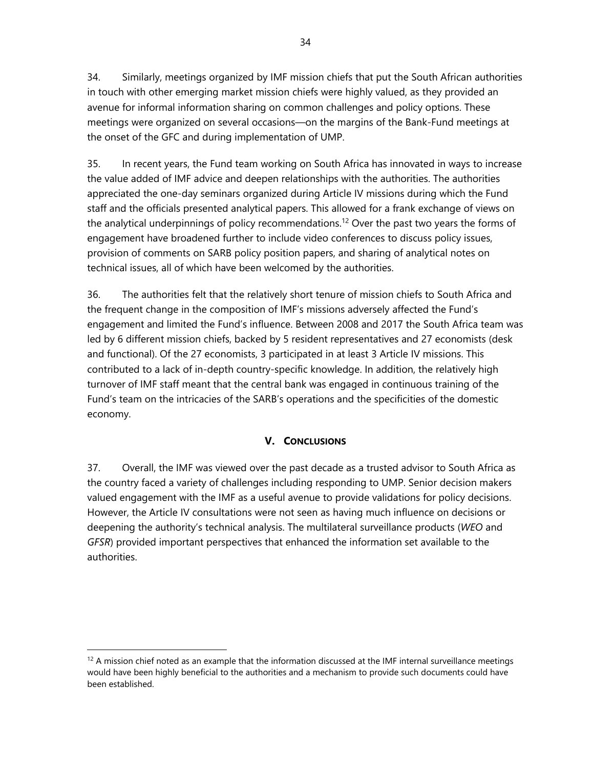34. Similarly, meetings organized by IMF mission chiefs that put the South African authorities in touch with other emerging market mission chiefs were highly valued, as they provided an avenue for informal information sharing on common challenges and policy options. These meetings were organized on several occasions—on the margins of the Bank-Fund meetings at the onset of the GFC and during implementation of UMP.

35. In recent years, the Fund team working on South Africa has innovated in ways to increase the value added of IMF advice and deepen relationships with the authorities. The authorities appreciated the one-day seminars organized during Article IV missions during which the Fund staff and the officials presented analytical papers. This allowed for a frank exchange of views on the analytical underpinnings of policy recommendations.<sup>12</sup> Over the past two years the forms of engagement have broadened further to include video conferences to discuss policy issues, provision of comments on SARB policy position papers, and sharing of analytical notes on technical issues, all of which have been welcomed by the authorities.

36. The authorities felt that the relatively short tenure of mission chiefs to South Africa and the frequent change in the composition of IMF's missions adversely affected the Fund's engagement and limited the Fund's influence. Between 2008 and 2017 the South Africa team was led by 6 different mission chiefs, backed by 5 resident representatives and 27 economists (desk and functional). Of the 27 economists, 3 participated in at least 3 Article IV missions. This contributed to a lack of in-depth country-specific knowledge. In addition, the relatively high turnover of IMF staff meant that the central bank was engaged in continuous training of the Fund's team on the intricacies of the SARB's operations and the specificities of the domestic economy.

## **V. CONCLUSIONS**

37. Overall, the IMF was viewed over the past decade as a trusted advisor to South Africa as the country faced a variety of challenges including responding to UMP. Senior decision makers valued engagement with the IMF as a useful avenue to provide validations for policy decisions. However, the Article IV consultations were not seen as having much influence on decisions or deepening the authority's technical analysis. The multilateral surveillance products (*WEO* and *GFSR*) provided important perspectives that enhanced the information set available to the authorities.

 $12$  A mission chief noted as an example that the information discussed at the IMF internal surveillance meetings would have been highly beneficial to the authorities and a mechanism to provide such documents could have been established.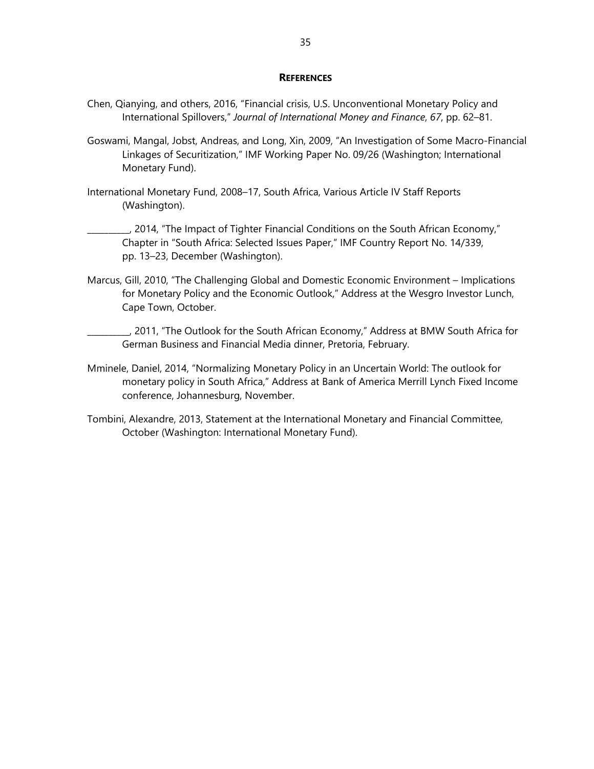#### **REFERENCES**

- Chen, Qianying, and others, 2016, "Financial crisis, U.S. Unconventional Monetary Policy and International Spillovers," *Journal of International Money and Finance*, *67*, pp. 62–81.
- Goswami, Mangal, Jobst, Andreas, and Long, Xin, 2009, "An Investigation of Some Macro-Financial Linkages of Securitization," IMF Working Paper No. 09/26 (Washington; International Monetary Fund).
- International Monetary Fund, 2008–17, South Africa, Various Article IV Staff Reports (Washington).
	- \_\_\_\_\_\_\_\_\_\_, 2014, "The Impact of Tighter Financial Conditions on the South African Economy," Chapter in "South Africa: Selected Issues Paper," IMF Country Report No. 14/339, pp. 13–23, December (Washington).
- Marcus, Gill, 2010, "The Challenging Global and Domestic Economic Environment Implications for Monetary Policy and the Economic Outlook," Address at the Wesgro Investor Lunch, Cape Town, October.
	- \_\_\_\_\_\_\_\_\_\_, 2011, "The Outlook for the South African Economy," Address at BMW South Africa for German Business and Financial Media dinner, Pretoria, February.
- Mminele, Daniel, 2014, "Normalizing Monetary Policy in an Uncertain World: The outlook for monetary policy in South Africa," Address at Bank of America Merrill Lynch Fixed Income conference, Johannesburg, November.
- Tombini, Alexandre, 2013, Statement at the International Monetary and Financial Committee, October (Washington: International Monetary Fund).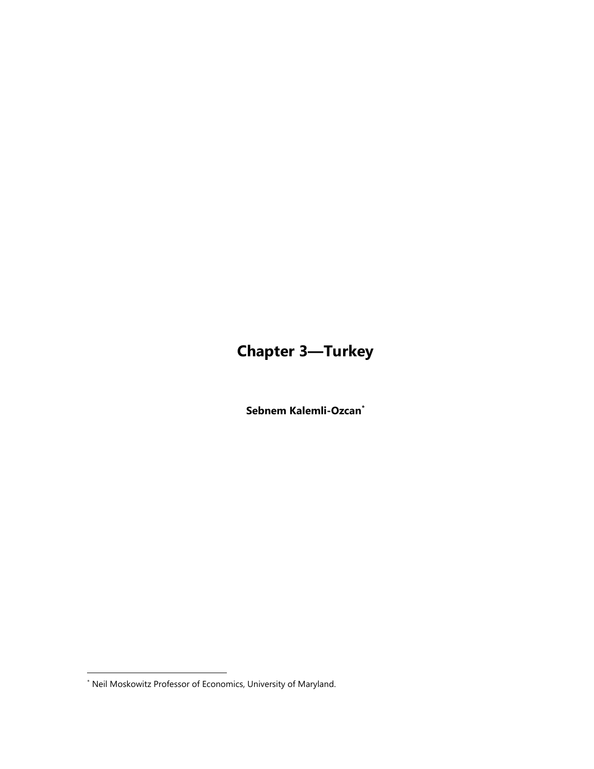# **Chapter 3—Turkey**

**Sebnem Kalemli-Ozcan\***

<sup>\*</sup> Neil Moskowitz Professor of Economics, University of Maryland.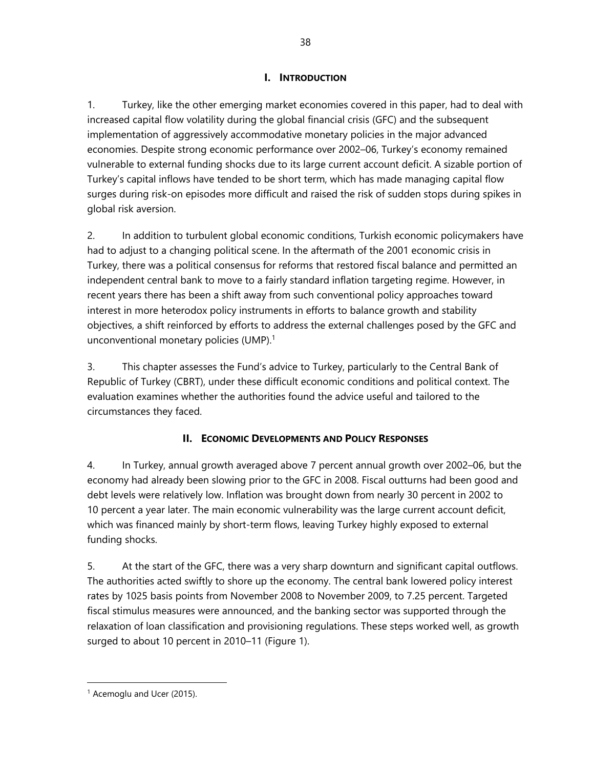## **I. INTRODUCTION**

1. Turkey, like the other emerging market economies covered in this paper, had to deal with increased capital flow volatility during the global financial crisis (GFC) and the subsequent implementation of aggressively accommodative monetary policies in the major advanced economies. Despite strong economic performance over 2002–06, Turkey's economy remained vulnerable to external funding shocks due to its large current account deficit. A sizable portion of Turkey's capital inflows have tended to be short term, which has made managing capital flow surges during risk-on episodes more difficult and raised the risk of sudden stops during spikes in global risk aversion.

2. In addition to turbulent global economic conditions, Turkish economic policymakers have had to adjust to a changing political scene. In the aftermath of the 2001 economic crisis in Turkey, there was a political consensus for reforms that restored fiscal balance and permitted an independent central bank to move to a fairly standard inflation targeting regime. However, in recent years there has been a shift away from such conventional policy approaches toward interest in more heterodox policy instruments in efforts to balance growth and stability objectives, a shift reinforced by efforts to address the external challenges posed by the GFC and unconventional monetary policies (UMP). $<sup>1</sup>$ </sup>

3. This chapter assesses the Fund's advice to Turkey, particularly to the Central Bank of Republic of Turkey (CBRT), under these difficult economic conditions and political context. The evaluation examines whether the authorities found the advice useful and tailored to the circumstances they faced.

# **II. ECONOMIC DEVELOPMENTS AND POLICY RESPONSES**

4. In Turkey, annual growth averaged above 7 percent annual growth over 2002–06, but the economy had already been slowing prior to the GFC in 2008. Fiscal outturns had been good and debt levels were relatively low. Inflation was brought down from nearly 30 percent in 2002 to 10 percent a year later. The main economic vulnerability was the large current account deficit, which was financed mainly by short-term flows, leaving Turkey highly exposed to external funding shocks.

5. At the start of the GFC, there was a very sharp downturn and significant capital outflows. The authorities acted swiftly to shore up the economy. The central bank lowered policy interest rates by 1025 basis points from November 2008 to November 2009, to 7.25 percent. Targeted fiscal stimulus measures were announced, and the banking sector was supported through the relaxation of loan classification and provisioning regulations. These steps worked well, as growth surged to about 10 percent in 2010–11 (Figure 1).

<sup>1</sup> Acemoglu and Ucer (2015).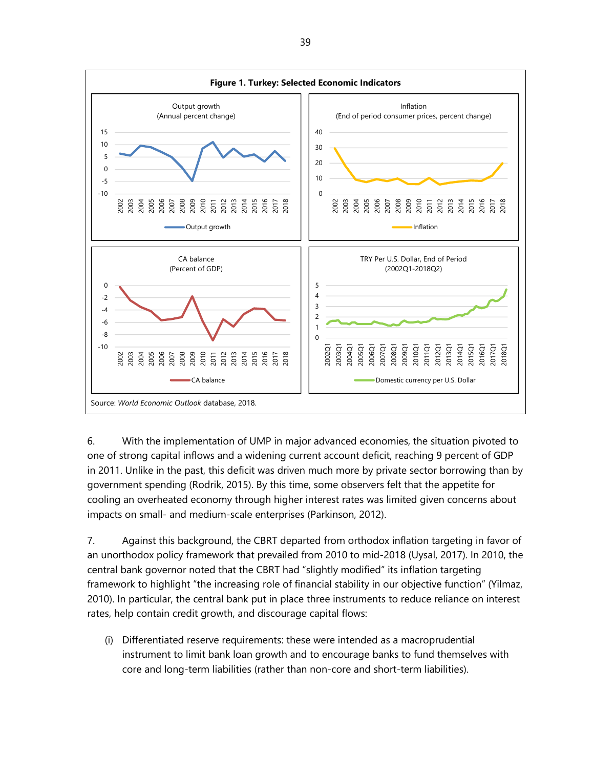

6. With the implementation of UMP in major advanced economies, the situation pivoted to one of strong capital inflows and a widening current account deficit, reaching 9 percent of GDP in 2011. Unlike in the past, this deficit was driven much more by private sector borrowing than by government spending (Rodrik, 2015). By this time, some observers felt that the appetite for cooling an overheated economy through higher interest rates was limited given concerns about impacts on small- and medium-scale enterprises (Parkinson, 2012).

7. Against this background, the CBRT departed from orthodox inflation targeting in favor of an unorthodox policy framework that prevailed from 2010 to mid-2018 (Uysal, 2017). In 2010, the central bank governor noted that the CBRT had "slightly modified" its inflation targeting framework to highlight "the increasing role of financial stability in our objective function" (Yilmaz, 2010). In particular, the central bank put in place three instruments to reduce reliance on interest rates, help contain credit growth, and discourage capital flows:

(i) Differentiated reserve requirements: these were intended as a macroprudential instrument to limit bank loan growth and to encourage banks to fund themselves with core and long-term liabilities (rather than non-core and short-term liabilities).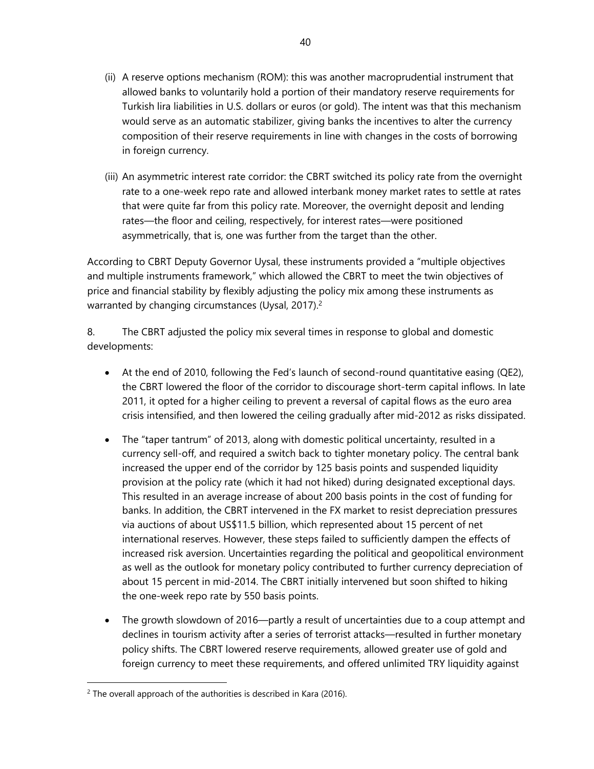- (ii) A reserve options mechanism (ROM): this was another macroprudential instrument that allowed banks to voluntarily hold a portion of their mandatory reserve requirements for Turkish lira liabilities in U.S. dollars or euros (or gold). The intent was that this mechanism would serve as an automatic stabilizer, giving banks the incentives to alter the currency composition of their reserve requirements in line with changes in the costs of borrowing in foreign currency.
- (iii) An asymmetric interest rate corridor: the CBRT switched its policy rate from the overnight rate to a one-week repo rate and allowed interbank money market rates to settle at rates that were quite far from this policy rate. Moreover, the overnight deposit and lending rates—the floor and ceiling, respectively, for interest rates—were positioned asymmetrically, that is, one was further from the target than the other.

According to CBRT Deputy Governor Uysal, these instruments provided a "multiple objectives and multiple instruments framework," which allowed the CBRT to meet the twin objectives of price and financial stability by flexibly adjusting the policy mix among these instruments as warranted by changing circumstances (Uysal, 2017).<sup>2</sup>

8. The CBRT adjusted the policy mix several times in response to global and domestic developments:

- At the end of 2010, following the Fed's launch of second-round quantitative easing (QE2), the CBRT lowered the floor of the corridor to discourage short-term capital inflows. In late 2011, it opted for a higher ceiling to prevent a reversal of capital flows as the euro area crisis intensified, and then lowered the ceiling gradually after mid-2012 as risks dissipated.
- The "taper tantrum" of 2013, along with domestic political uncertainty, resulted in a currency sell-off, and required a switch back to tighter monetary policy. The central bank increased the upper end of the corridor by 125 basis points and suspended liquidity provision at the policy rate (which it had not hiked) during designated exceptional days. This resulted in an average increase of about 200 basis points in the cost of funding for banks. In addition, the CBRT intervened in the FX market to resist depreciation pressures via auctions of about US\$11.5 billion, which represented about 15 percent of net international reserves. However, these steps failed to sufficiently dampen the effects of increased risk aversion. Uncertainties regarding the political and geopolitical environment as well as the outlook for monetary policy contributed to further currency depreciation of about 15 percent in mid-2014. The CBRT initially intervened but soon shifted to hiking the one-week repo rate by 550 basis points.
- The growth slowdown of 2016—partly a result of uncertainties due to a coup attempt and declines in tourism activity after a series of terrorist attacks—resulted in further monetary policy shifts. The CBRT lowered reserve requirements, allowed greater use of gold and foreign currency to meet these requirements, and offered unlimited TRY liquidity against

1

 $2$  The overall approach of the authorities is described in Kara (2016).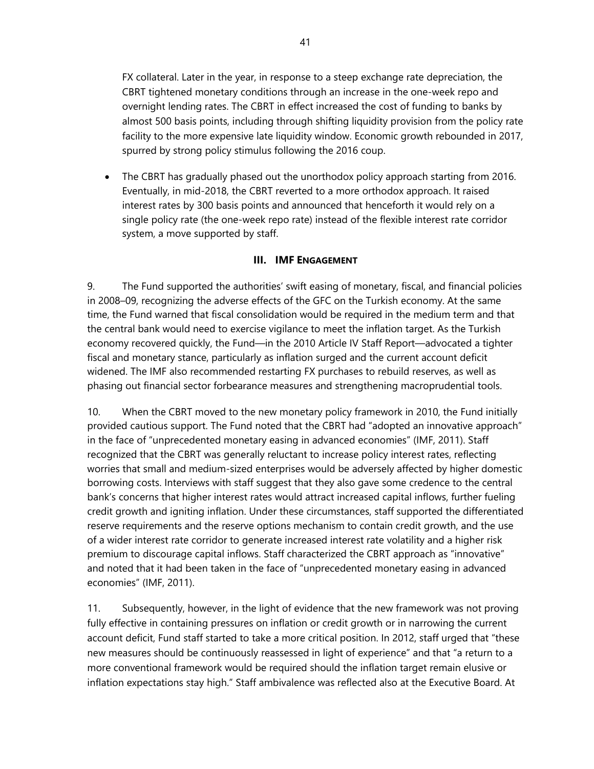FX collateral. Later in the year, in response to a steep exchange rate depreciation, the CBRT tightened monetary conditions through an increase in the one-week repo and overnight lending rates. The CBRT in effect increased the cost of funding to banks by almost 500 basis points, including through shifting liquidity provision from the policy rate facility to the more expensive late liquidity window. Economic growth rebounded in 2017, spurred by strong policy stimulus following the 2016 coup.

 The CBRT has gradually phased out the unorthodox policy approach starting from 2016. Eventually, in mid-2018, the CBRT reverted to a more orthodox approach. It raised interest rates by 300 basis points and announced that henceforth it would rely on a single policy rate (the one-week repo rate) instead of the flexible interest rate corridor system, a move supported by staff.

## **III. IMF ENGAGEMENT**

9. The Fund supported the authorities' swift easing of monetary, fiscal, and financial policies in 2008–09, recognizing the adverse effects of the GFC on the Turkish economy. At the same time, the Fund warned that fiscal consolidation would be required in the medium term and that the central bank would need to exercise vigilance to meet the inflation target. As the Turkish economy recovered quickly, the Fund—in the 2010 Article IV Staff Report—advocated a tighter fiscal and monetary stance, particularly as inflation surged and the current account deficit widened. The IMF also recommended restarting FX purchases to rebuild reserves, as well as phasing out financial sector forbearance measures and strengthening macroprudential tools.

10. When the CBRT moved to the new monetary policy framework in 2010, the Fund initially provided cautious support. The Fund noted that the CBRT had "adopted an innovative approach" in the face of "unprecedented monetary easing in advanced economies" (IMF, 2011). Staff recognized that the CBRT was generally reluctant to increase policy interest rates, reflecting worries that small and medium-sized enterprises would be adversely affected by higher domestic borrowing costs. Interviews with staff suggest that they also gave some credence to the central bank's concerns that higher interest rates would attract increased capital inflows, further fueling credit growth and igniting inflation. Under these circumstances, staff supported the differentiated reserve requirements and the reserve options mechanism to contain credit growth, and the use of a wider interest rate corridor to generate increased interest rate volatility and a higher risk premium to discourage capital inflows. Staff characterized the CBRT approach as "innovative" and noted that it had been taken in the face of "unprecedented monetary easing in advanced economies" (IMF, 2011).

11. Subsequently, however, in the light of evidence that the new framework was not proving fully effective in containing pressures on inflation or credit growth or in narrowing the current account deficit, Fund staff started to take a more critical position. In 2012, staff urged that "these new measures should be continuously reassessed in light of experience" and that "a return to a more conventional framework would be required should the inflation target remain elusive or inflation expectations stay high." Staff ambivalence was reflected also at the Executive Board. At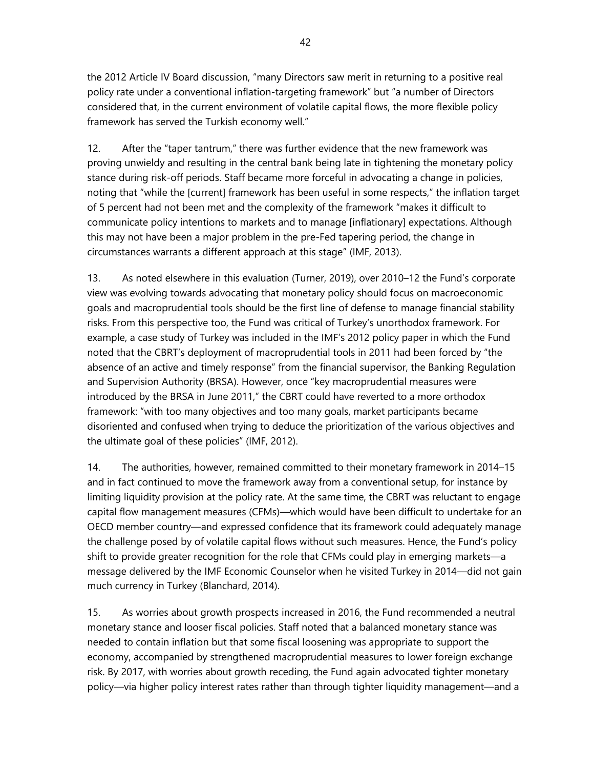the 2012 Article IV Board discussion, "many Directors saw merit in returning to a positive real policy rate under a conventional inflation-targeting framework" but "a number of Directors considered that, in the current environment of volatile capital flows, the more flexible policy framework has served the Turkish economy well."

12. After the "taper tantrum," there was further evidence that the new framework was proving unwieldy and resulting in the central bank being late in tightening the monetary policy stance during risk-off periods. Staff became more forceful in advocating a change in policies, noting that "while the [current] framework has been useful in some respects," the inflation target of 5 percent had not been met and the complexity of the framework "makes it difficult to communicate policy intentions to markets and to manage [inflationary] expectations. Although this may not have been a major problem in the pre-Fed tapering period, the change in circumstances warrants a different approach at this stage" (IMF, 2013).

13. As noted elsewhere in this evaluation (Turner, 2019), over 2010–12 the Fund's corporate view was evolving towards advocating that monetary policy should focus on macroeconomic goals and macroprudential tools should be the first line of defense to manage financial stability risks. From this perspective too, the Fund was critical of Turkey's unorthodox framework. For example, a case study of Turkey was included in the IMF's 2012 policy paper in which the Fund noted that the CBRT's deployment of macroprudential tools in 2011 had been forced by "the absence of an active and timely response" from the financial supervisor, the Banking Regulation and Supervision Authority (BRSA). However, once "key macroprudential measures were introduced by the BRSA in June 2011," the CBRT could have reverted to a more orthodox framework: "with too many objectives and too many goals, market participants became disoriented and confused when trying to deduce the prioritization of the various objectives and the ultimate goal of these policies" (IMF, 2012).

14. The authorities, however, remained committed to their monetary framework in 2014–15 and in fact continued to move the framework away from a conventional setup, for instance by limiting liquidity provision at the policy rate. At the same time, the CBRT was reluctant to engage capital flow management measures (CFMs)—which would have been difficult to undertake for an OECD member country—and expressed confidence that its framework could adequately manage the challenge posed by of volatile capital flows without such measures. Hence, the Fund's policy shift to provide greater recognition for the role that CFMs could play in emerging markets—a message delivered by the IMF Economic Counselor when he visited Turkey in 2014—did not gain much currency in Turkey (Blanchard, 2014).

15. As worries about growth prospects increased in 2016, the Fund recommended a neutral monetary stance and looser fiscal policies. Staff noted that a balanced monetary stance was needed to contain inflation but that some fiscal loosening was appropriate to support the economy, accompanied by strengthened macroprudential measures to lower foreign exchange risk. By 2017, with worries about growth receding, the Fund again advocated tighter monetary policy—via higher policy interest rates rather than through tighter liquidity management—and a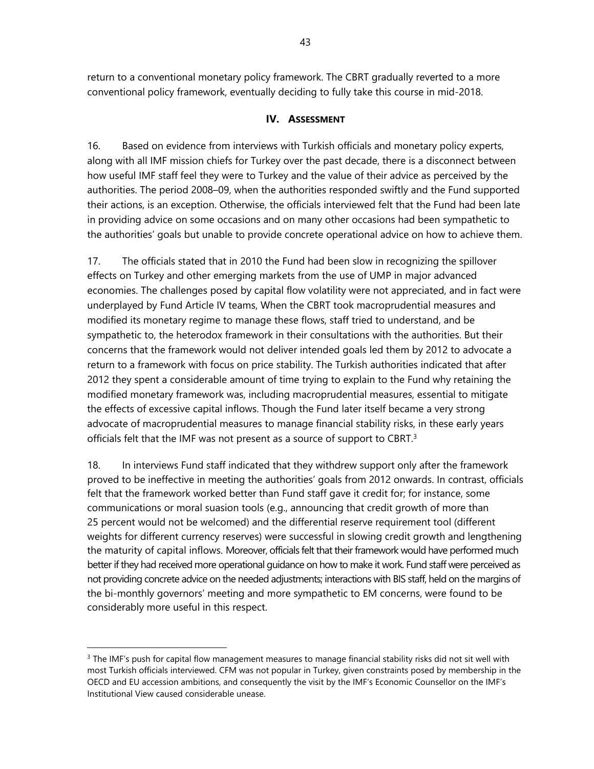return to a conventional monetary policy framework. The CBRT gradually reverted to a more conventional policy framework, eventually deciding to fully take this course in mid-2018.

### **IV. ASSESSMENT**

16. Based on evidence from interviews with Turkish officials and monetary policy experts, along with all IMF mission chiefs for Turkey over the past decade, there is a disconnect between how useful IMF staff feel they were to Turkey and the value of their advice as perceived by the authorities. The period 2008–09, when the authorities responded swiftly and the Fund supported their actions, is an exception. Otherwise, the officials interviewed felt that the Fund had been late in providing advice on some occasions and on many other occasions had been sympathetic to the authorities' goals but unable to provide concrete operational advice on how to achieve them.

17. The officials stated that in 2010 the Fund had been slow in recognizing the spillover effects on Turkey and other emerging markets from the use of UMP in major advanced economies. The challenges posed by capital flow volatility were not appreciated, and in fact were underplayed by Fund Article IV teams, When the CBRT took macroprudential measures and modified its monetary regime to manage these flows, staff tried to understand, and be sympathetic to, the heterodox framework in their consultations with the authorities. But their concerns that the framework would not deliver intended goals led them by 2012 to advocate a return to a framework with focus on price stability. The Turkish authorities indicated that after 2012 they spent a considerable amount of time trying to explain to the Fund why retaining the modified monetary framework was, including macroprudential measures, essential to mitigate the effects of excessive capital inflows. Though the Fund later itself became a very strong advocate of macroprudential measures to manage financial stability risks, in these early years officials felt that the IMF was not present as a source of support to CBRT.<sup>3</sup>

18. In interviews Fund staff indicated that they withdrew support only after the framework proved to be ineffective in meeting the authorities' goals from 2012 onwards. In contrast, officials felt that the framework worked better than Fund staff gave it credit for; for instance, some communications or moral suasion tools (e.g., announcing that credit growth of more than 25 percent would not be welcomed) and the differential reserve requirement tool (different weights for different currency reserves) were successful in slowing credit growth and lengthening the maturity of capital inflows. Moreover, officials felt that their framework would have performed much better if they had received more operational guidance on how to make it work. Fund staff were perceived as not providing concrete advice on the needed adjustments; interactions with BIS staff, held on the margins of the bi-monthly governors' meeting and more sympathetic to EM concerns, were found to be considerably more useful in this respect.

 $3$  The IMF's push for capital flow management measures to manage financial stability risks did not sit well with most Turkish officials interviewed. CFM was not popular in Turkey, given constraints posed by membership in the OECD and EU accession ambitions, and consequently the visit by the IMF's Economic Counsellor on the IMF's Institutional View caused considerable unease.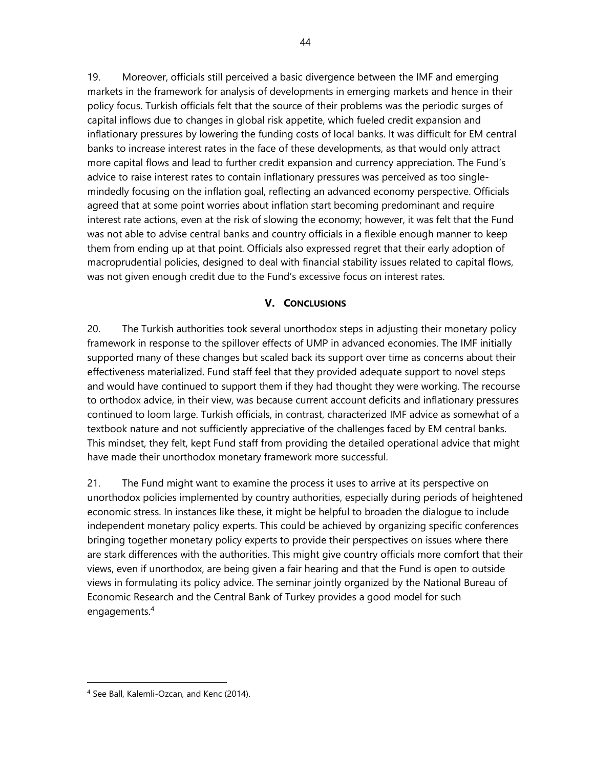19. Moreover, officials still perceived a basic divergence between the IMF and emerging markets in the framework for analysis of developments in emerging markets and hence in their policy focus. Turkish officials felt that the source of their problems was the periodic surges of capital inflows due to changes in global risk appetite, which fueled credit expansion and inflationary pressures by lowering the funding costs of local banks. It was difficult for EM central banks to increase interest rates in the face of these developments, as that would only attract more capital flows and lead to further credit expansion and currency appreciation. The Fund's advice to raise interest rates to contain inflationary pressures was perceived as too singlemindedly focusing on the inflation goal, reflecting an advanced economy perspective. Officials agreed that at some point worries about inflation start becoming predominant and require interest rate actions, even at the risk of slowing the economy; however, it was felt that the Fund was not able to advise central banks and country officials in a flexible enough manner to keep them from ending up at that point. Officials also expressed regret that their early adoption of macroprudential policies, designed to deal with financial stability issues related to capital flows, was not given enough credit due to the Fund's excessive focus on interest rates.

## **V. CONCLUSIONS**

20. The Turkish authorities took several unorthodox steps in adjusting their monetary policy framework in response to the spillover effects of UMP in advanced economies. The IMF initially supported many of these changes but scaled back its support over time as concerns about their effectiveness materialized. Fund staff feel that they provided adequate support to novel steps and would have continued to support them if they had thought they were working. The recourse to orthodox advice, in their view, was because current account deficits and inflationary pressures continued to loom large. Turkish officials, in contrast, characterized IMF advice as somewhat of a textbook nature and not sufficiently appreciative of the challenges faced by EM central banks. This mindset, they felt, kept Fund staff from providing the detailed operational advice that might have made their unorthodox monetary framework more successful.

21. The Fund might want to examine the process it uses to arrive at its perspective on unorthodox policies implemented by country authorities, especially during periods of heightened economic stress. In instances like these, it might be helpful to broaden the dialogue to include independent monetary policy experts. This could be achieved by organizing specific conferences bringing together monetary policy experts to provide their perspectives on issues where there are stark differences with the authorities. This might give country officials more comfort that their views, even if unorthodox, are being given a fair hearing and that the Fund is open to outside views in formulating its policy advice. The seminar jointly organized by the National Bureau of Economic Research and the Central Bank of Turkey provides a good model for such engagements.4

1

<sup>4</sup> See Ball, Kalemli-Ozcan, and Kenc (2014).